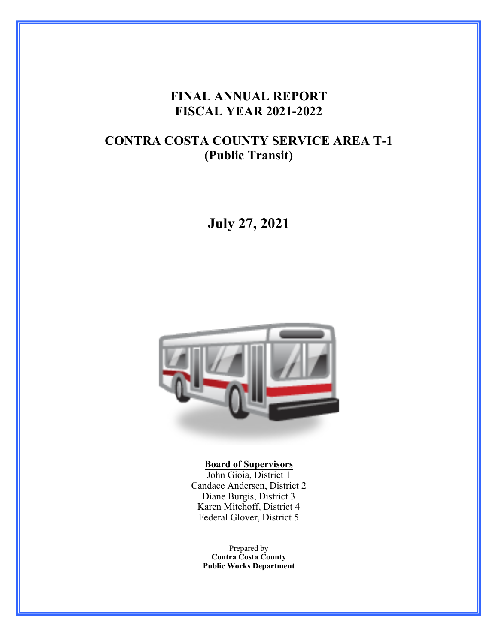### **FINAL ANNUAL REPORT FISCAL YEAR 2021-2022**

## **CONTRA COSTA COUNTY SERVICE AREA T-1 (Public Transit)**

**July 27, 2021**



#### **Board of Supervisors**

John Gioia, District 1 Candace Andersen, District 2 Diane Burgis, District 3 Karen Mitchoff, District 4 Federal Glover, District 5

Prepared by **Contra Costa County Public Works Department**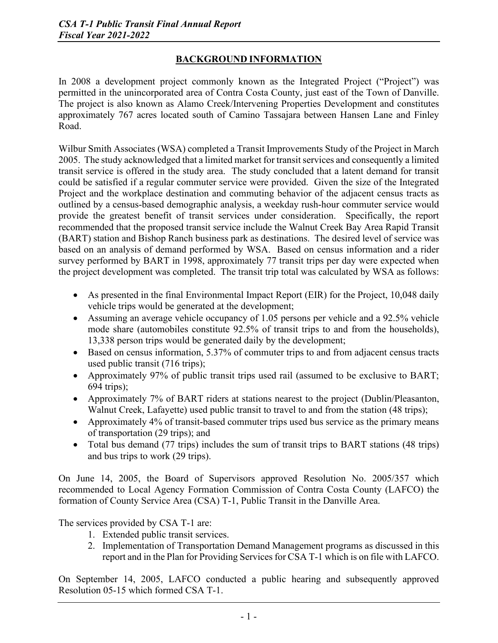### **BACKGROUND INFORMATION**

In 2008 a development project commonly known as the Integrated Project ("Project") was permitted in the unincorporated area of Contra Costa County, just east of the Town of Danville. The project is also known as Alamo Creek/Intervening Properties Development and constitutes approximately 767 acres located south of Camino Tassajara between Hansen Lane and Finley Road.

Wilbur Smith Associates (WSA) completed a Transit Improvements Study of the Project in March 2005. The study acknowledged that a limited market for transit services and consequently a limited transit service is offered in the study area. The study concluded that a latent demand for transit could be satisfied if a regular commuter service were provided. Given the size of the Integrated Project and the workplace destination and commuting behavior of the adjacent census tracts as outlined by a census-based demographic analysis, a weekday rush-hour commuter service would provide the greatest benefit of transit services under consideration. Specifically, the report recommended that the proposed transit service include the Walnut Creek Bay Area Rapid Transit (BART) station and Bishop Ranch business park as destinations. The desired level of service was based on an analysis of demand performed by WSA. Based on census information and a rider survey performed by BART in 1998, approximately 77 transit trips per day were expected when the project development was completed. The transit trip total was calculated by WSA as follows:

- As presented in the final Environmental Impact Report (EIR) for the Project, 10,048 daily vehicle trips would be generated at the development;
- Assuming an average vehicle occupancy of 1.05 persons per vehicle and a 92.5% vehicle mode share (automobiles constitute 92.5% of transit trips to and from the households), 13,338 person trips would be generated daily by the development;
- Based on census information, 5.37% of commuter trips to and from adjacent census tracts used public transit (716 trips);
- Approximately 97% of public transit trips used rail (assumed to be exclusive to BART; 694 trips);
- Approximately 7% of BART riders at stations nearest to the project (Dublin/Pleasanton, Walnut Creek, Lafayette) used public transit to travel to and from the station (48 trips);
- Approximately 4% of transit-based commuter trips used bus service as the primary means of transportation (29 trips); and
- Total bus demand (77 trips) includes the sum of transit trips to BART stations (48 trips) and bus trips to work (29 trips).

On June 14, 2005, the Board of Supervisors approved Resolution No. 2005/357 which recommended to Local Agency Formation Commission of Contra Costa County (LAFCO) the formation of County Service Area (CSA) T-1, Public Transit in the Danville Area.

The services provided by CSA T-1 are:

- 1. Extended public transit services.
- 2. Implementation of Transportation Demand Management programs as discussed in this report and in the Plan for Providing Services for CSA T-1 which is on file with LAFCO.

On September 14, 2005, LAFCO conducted a public hearing and subsequently approved Resolution 05-15 which formed CSA T-1.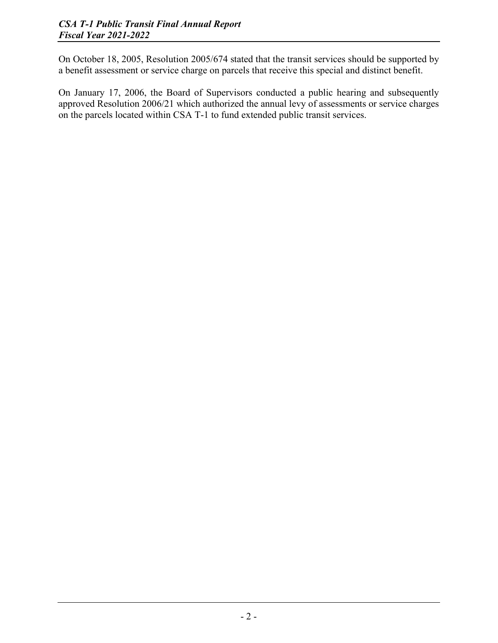On October 18, 2005, Resolution 2005/674 stated that the transit services should be supported by a benefit assessment or service charge on parcels that receive this special and distinct benefit.

On January 17, 2006, the Board of Supervisors conducted a public hearing and subsequently approved Resolution 2006/21 which authorized the annual levy of assessments or service charges on the parcels located within CSA T-1 to fund extended public transit services.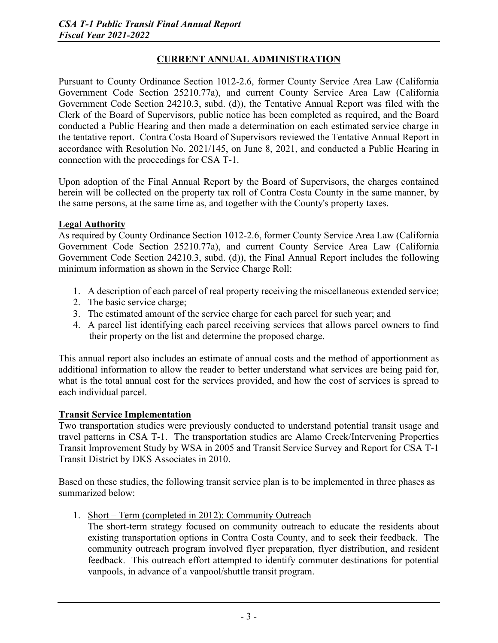### **CURRENT ANNUAL ADMINISTRATION**

Pursuant to County Ordinance Section 1012-2.6, former County Service Area Law (California Government Code Section 25210.77a), and current County Service Area Law (California Government Code Section 24210.3, subd. (d)), the Tentative Annual Report was filed with the Clerk of the Board of Supervisors, public notice has been completed as required, and the Board conducted a Public Hearing and then made a determination on each estimated service charge in the tentative report. Contra Costa Board of Supervisors reviewed the Tentative Annual Report in accordance with Resolution No. 2021/145, on June 8, 2021, and conducted a Public Hearing in connection with the proceedings for CSA T-1.

Upon adoption of the Final Annual Report by the Board of Supervisors, the charges contained herein will be collected on the property tax roll of Contra Costa County in the same manner, by the same persons, at the same time as, and together with the County's property taxes.

#### **Legal Authority**

As required by County Ordinance Section 1012-2.6, former County Service Area Law (California Government Code Section 25210.77a), and current County Service Area Law (California Government Code Section 24210.3, subd. (d)), the Final Annual Report includes the following minimum information as shown in the Service Charge Roll:

- 1. A description of each parcel of real property receiving the miscellaneous extended service;
- 2. The basic service charge;
- 3. The estimated amount of the service charge for each parcel for such year; and
- 4. A parcel list identifying each parcel receiving services that allows parcel owners to find their property on the list and determine the proposed charge.

This annual report also includes an estimate of annual costs and the method of apportionment as additional information to allow the reader to better understand what services are being paid for, what is the total annual cost for the services provided, and how the cost of services is spread to each individual parcel.

#### **Transit Service Implementation**

Two transportation studies were previously conducted to understand potential transit usage and travel patterns in CSA T-1. The transportation studies are Alamo Creek/Intervening Properties Transit Improvement Study by WSA in 2005 and Transit Service Survey and Report for CSA T-1 Transit District by DKS Associates in 2010.

Based on these studies, the following transit service plan is to be implemented in three phases as summarized below:

1. Short – Term (completed in 2012): Community Outreach

The short-term strategy focused on community outreach to educate the residents about existing transportation options in Contra Costa County, and to seek their feedback. The community outreach program involved flyer preparation, flyer distribution, and resident feedback. This outreach effort attempted to identify commuter destinations for potential vanpools, in advance of a vanpool/shuttle transit program.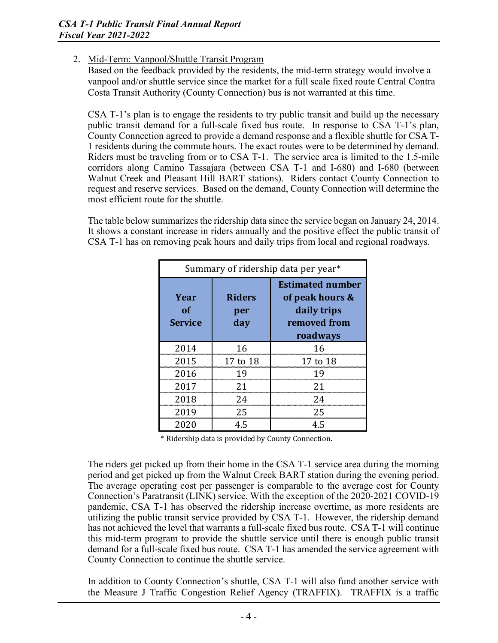#### 2. Mid-Term: Vanpool/Shuttle Transit Program

Based on the feedback provided by the residents, the mid-term strategy would involve a vanpool and/or shuttle service since the market for a full scale fixed route Central Contra Costa Transit Authority (County Connection) bus is not warranted at this time.

CSA T-1's plan is to engage the residents to try public transit and build up the necessary public transit demand for a full-scale fixed bus route. In response to CSA T-1's plan, County Connection agreed to provide a demand response and a flexible shuttle for CSA T-1 residents during the commute hours. The exact routes were to be determined by demand. Riders must be traveling from or to CSA T-1. The service area is limited to the 1.5-mile corridors along Camino Tassajara (between CSA T-1 and I-680) and I-680 (between Walnut Creek and Pleasant Hill BART stations). Riders contact County Connection to request and reserve services. Based on the demand, County Connection will determine the most efficient route for the shuttle.

The table below summarizes the ridership data since the service began on January 24, 2014. It shows a constant increase in riders annually and the positive effect the public transit of CSA T-1 has on removing peak hours and daily trips from local and regional roadways.

| Summary of ridership data per year* |                             |                                                                                       |  |  |  |  |  |
|-------------------------------------|-----------------------------|---------------------------------------------------------------------------------------|--|--|--|--|--|
| Year<br>of<br><b>Service</b>        | <b>Riders</b><br>per<br>day | <b>Estimated number</b><br>of peak hours &<br>daily trips<br>removed from<br>roadways |  |  |  |  |  |
| 2014                                | 16                          | 16                                                                                    |  |  |  |  |  |
| 2015                                | 17 to 18                    | 17 to 18                                                                              |  |  |  |  |  |
| 2016                                | 1 Q                         | 1 Q                                                                                   |  |  |  |  |  |
| 2017                                | 21                          | 21                                                                                    |  |  |  |  |  |
| 2018                                | 24                          | 24                                                                                    |  |  |  |  |  |
| 2019                                | 25                          | 25                                                                                    |  |  |  |  |  |
| 2020                                | 4.5                         | 4.5                                                                                   |  |  |  |  |  |

\* Ridership data is provided by County Connection.

The riders get picked up from their home in the CSA T-1 service area during the morning period and get picked up from the Walnut Creek BART station during the evening period. The average operating cost per passenger is comparable to the average cost for County Connection's Paratransit (LINK) service. With the exception of the 2020-2021 COVID-19 pandemic, CSA T-1 has observed the ridership increase overtime, as more residents are utilizing the public transit service provided by CSA T-1. However, the ridership demand has not achieved the level that warrants a full-scale fixed bus route. CSA T-1 will continue this mid-term program to provide the shuttle service until there is enough public transit demand for a full-scale fixed bus route. CSA T-1 has amended the service agreement with County Connection to continue the shuttle service.

In addition to County Connection's shuttle, CSA T-1 will also fund another service with the Measure J Traffic Congestion Relief Agency (TRAFFIX). TRAFFIX is a traffic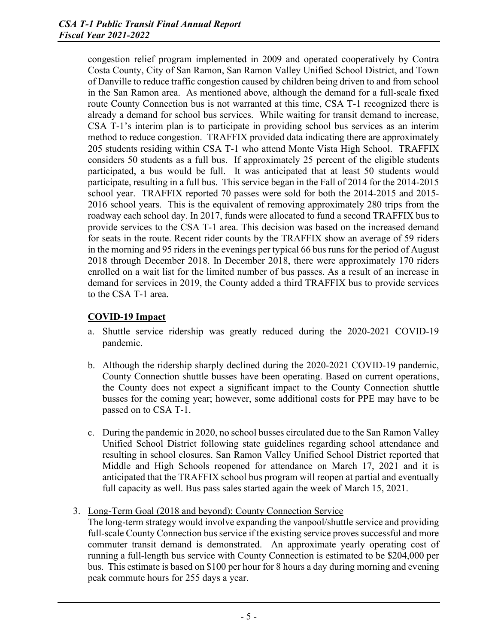congestion relief program implemented in 2009 and operated cooperatively by Contra Costa County, City of San Ramon, San Ramon Valley Unified School District, and Town of Danville to reduce traffic congestion caused by children being driven to and from school in the San Ramon area. As mentioned above, although the demand for a full-scale fixed route County Connection bus is not warranted at this time, CSA T-1 recognized there is already a demand for school bus services. While waiting for transit demand to increase, CSA T-1's interim plan is to participate in providing school bus services as an interim method to reduce congestion. TRAFFIX provided data indicating there are approximately 205 students residing within CSA T-1 who attend Monte Vista High School. TRAFFIX considers 50 students as a full bus. If approximately 25 percent of the eligible students participated, a bus would be full. It was anticipated that at least 50 students would participate, resulting in a full bus. This service began in the Fall of 2014 for the 2014-2015 school year. TRAFFIX reported 70 passes were sold for both the 2014-2015 and 2015- 2016 school years. This is the equivalent of removing approximately 280 trips from the roadway each school day. In 2017, funds were allocated to fund a second TRAFFIX bus to provide services to the CSA T-1 area. This decision was based on the increased demand for seats in the route. Recent rider counts by the TRAFFIX show an average of 59 riders in the morning and 95 riders in the evenings per typical 66 bus runs for the period of August 2018 through December 2018. In December 2018, there were approximately 170 riders enrolled on a wait list for the limited number of bus passes. As a result of an increase in demand for services in 2019, the County added a third TRAFFIX bus to provide services to the CSA T-1 area.

#### **COVID-19 Impact**

- a. Shuttle service ridership was greatly reduced during the 2020-2021 COVID-19 pandemic.
- b. Although the ridership sharply declined during the 2020-2021 COVID-19 pandemic, County Connection shuttle busses have been operating. Based on current operations, the County does not expect a significant impact to the County Connection shuttle busses for the coming year; however, some additional costs for PPE may have to be passed on to CSA T-1.
- c. During the pandemic in 2020, no school busses circulated due to the San Ramon Valley Unified School District following state guidelines regarding school attendance and resulting in school closures. San Ramon Valley Unified School District reported that Middle and High Schools reopened for attendance on March 17, 2021 and it is anticipated that the TRAFFIX school bus program will reopen at partial and eventually full capacity as well. Bus pass sales started again the week of March 15, 2021.
- 3. Long-Term Goal (2018 and beyond): County Connection Service
	- The long-term strategy would involve expanding the vanpool/shuttle service and providing full-scale County Connection bus service if the existing service proves successful and more commuter transit demand is demonstrated. An approximate yearly operating cost of running a full-length bus service with County Connection is estimated to be \$204,000 per bus. This estimate is based on \$100 per hour for 8 hours a day during morning and evening peak commute hours for 255 days a year.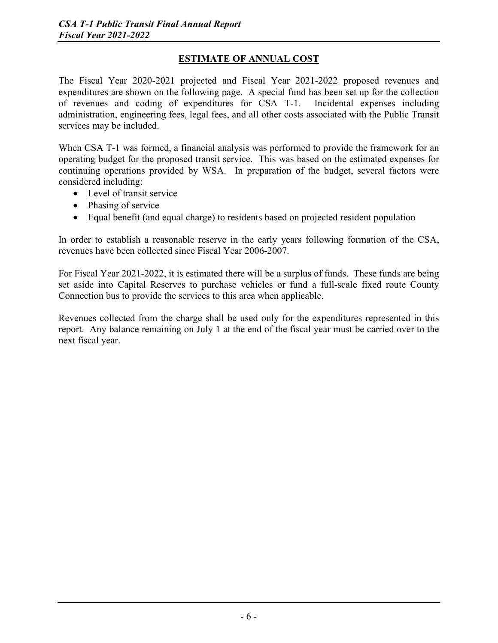### **ESTIMATE OF ANNUAL COST**

The Fiscal Year 2020-2021 projected and Fiscal Year 2021-2022 proposed revenues and expenditures are shown on the following page. A special fund has been set up for the collection of revenues and coding of expenditures for CSA T-1. Incidental expenses including of revenues and coding of expenditures for  $\overline{CSA}$  T-1. administration, engineering fees, legal fees, and all other costs associated with the Public Transit services may be included.

When CSA T-1 was formed, a financial analysis was performed to provide the framework for an operating budget for the proposed transit service. This was based on the estimated expenses for continuing operations provided by WSA. In preparation of the budget, several factors were considered including:

- Level of transit service
- Phasing of service
- Equal benefit (and equal charge) to residents based on projected resident population

In order to establish a reasonable reserve in the early years following formation of the CSA, revenues have been collected since Fiscal Year 2006-2007.

For Fiscal Year 2021-2022, it is estimated there will be a surplus of funds. These funds are being set aside into Capital Reserves to purchase vehicles or fund a full-scale fixed route County Connection bus to provide the services to this area when applicable.

Revenues collected from the charge shall be used only for the expenditures represented in this report. Any balance remaining on July 1 at the end of the fiscal year must be carried over to the next fiscal year.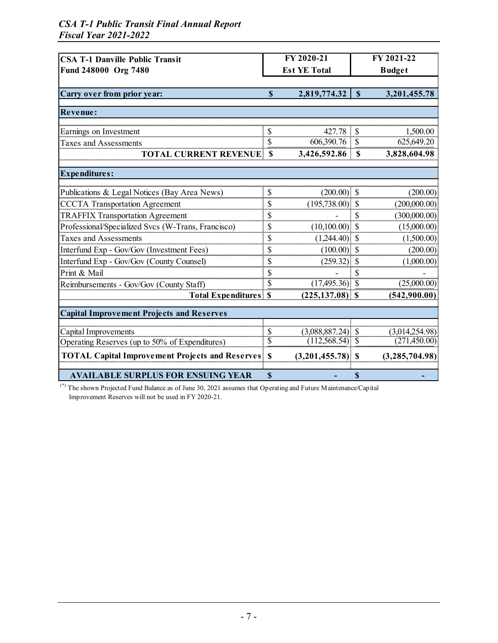#### *CSA T-1 Public Transit Final Annual Report Fiscal Year 2021-2022*

| <b>CSA T-1 Danville Public Transit</b>                 |                           | FY 2020-21          | FY 2021-22               |                |  |
|--------------------------------------------------------|---------------------------|---------------------|--------------------------|----------------|--|
| Fund 248000 Org 7480                                   |                           | <b>Est YE Total</b> |                          | <b>Budget</b>  |  |
|                                                        |                           |                     |                          |                |  |
| Carry over from prior year:                            | $\mathbf S$               | 2,819,774.32        | $\mathbf S$              | 3,201,455.78   |  |
|                                                        |                           |                     |                          |                |  |
| Revenue:                                               |                           |                     |                          |                |  |
| Earnings on Investment                                 | \$                        | 427.78              | \$                       | 1,500.00       |  |
| <b>Taxes and Assessments</b>                           | \$                        | 606,390.76          | $\mathcal{S}$            | 625,649.20     |  |
| <b>TOTAL CURRENT REVENUE</b>                           | $\boldsymbol{\mathsf{S}}$ | 3,426,592.86        | $\mathbf S$              | 3,828,604.98   |  |
| <b>Expenditures:</b>                                   |                           |                     |                          |                |  |
|                                                        |                           |                     |                          |                |  |
| Publications & Legal Notices (Bay Area News)           | \$                        | $(200.00)$ \$       |                          | (200.00)       |  |
| <b>CCCTA Transportation Agreement</b>                  | \$                        | $(195,738.00)$ \$   |                          | (200,000.00)   |  |
| <b>TRAFFIX Transportation Agreement</b>                | \$                        |                     | \$                       | (300,000.00)   |  |
| Professional/Specialized Svcs (W-Trans, Francisco)     | \$                        | (10,100.00)         | $\mathcal{S}$            | (15,000.00)    |  |
| <b>Taxes and Assessments</b>                           | \$                        | (1,244.40)          | $\mathbf S$              | (1,500.00)     |  |
| Interfund Exp - Gov/Gov (Investment Fees)              | \$                        | (100.00)            | $\mathbf S$              | (200.00)       |  |
| Interfund Exp - Gov/Gov (County Counsel)               | \$                        | (259.32)            | $\mathcal{S}$            | (1,000.00)     |  |
| Print & Mail                                           | \$                        |                     | \$                       |                |  |
| Reimbursements - Gov/Gov (County Staff)                | \$                        | $(17,495.36)$ \$    |                          | (25,000.00)    |  |
| <b>Total Expenditures</b>                              | $\mathbf S$               | $(225, 137.08)$ \$  |                          | (542,900.00)   |  |
| <b>Capital Improvement Projects and Reserves</b>       |                           |                     |                          |                |  |
| Capital Improvements                                   | $\mathcal{S}$             | $(3,088,887.24)$ \$ |                          | (3,014,254.98) |  |
| Operating Reserves (up to 50% of Expenditures)         | $\overline{\$}$           | (112, 568.54)       | $\overline{\mathcal{S}}$ | (271, 450.00)  |  |
| <b>TOTAL Capital Improvement Projects and Reserves</b> | $\mathbf{s}$              | $(3,201,455.78)$ \$ |                          | (3,285,704.98) |  |
|                                                        |                           |                     |                          |                |  |
| <b>AVAILABLE SURPLUS FOR ENSUING YEAR</b>              | $\overline{\mathbb{S}}$   |                     | S                        |                |  |

(\*) The shown Projected Fund Balance as of June 30, 2021 assumes that Operating and Future Maintenance/Capital Improvement Reserves will not be used in FY 2020-21.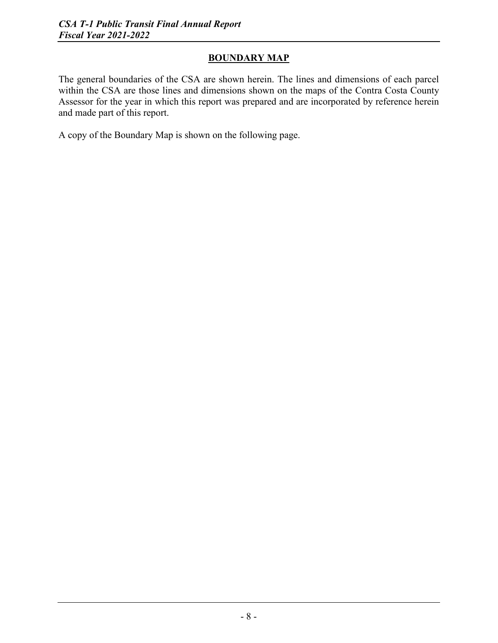### **BOUNDARY MAP**

The general boundaries of the CSA are shown herein. The lines and dimensions of each parcel within the CSA are those lines and dimensions shown on the maps of the Contra Costa County Assessor for the year in which this report was prepared and are incorporated by reference herein and made part of this report.

A copy of the Boundary Map is shown on the following page.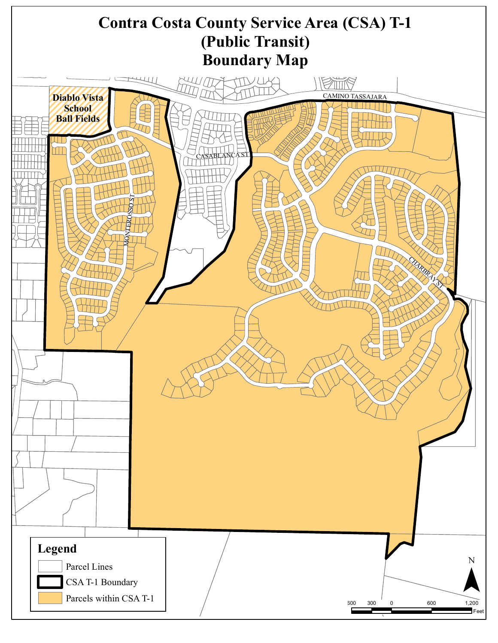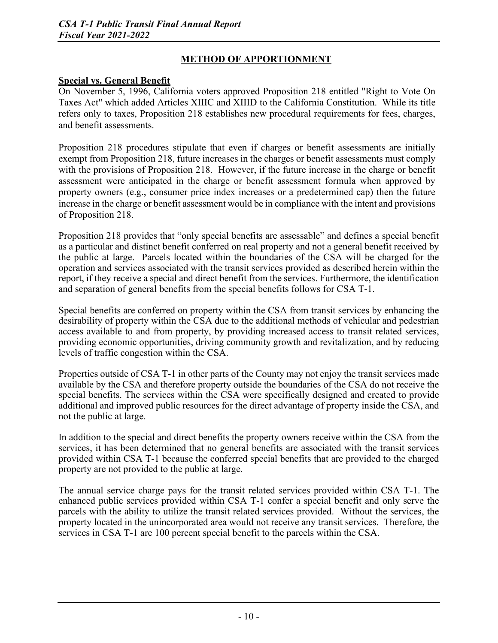### **METHOD OF APPORTIONMENT**

#### **Special vs. General Benefit**

On November 5, 1996, California voters approved Proposition 218 entitled "Right to Vote On Taxes Act" which added Articles XIIIC and XIIID to the California Constitution. While its title refers only to taxes, Proposition 218 establishes new procedural requirements for fees, charges, and benefit assessments.

Proposition 218 procedures stipulate that even if charges or benefit assessments are initially exempt from Proposition 218, future increases in the charges or benefit assessments must comply with the provisions of Proposition 218. However, if the future increase in the charge or benefit assessment were anticipated in the charge or benefit assessment formula when approved by property owners (e.g., consumer price index increases or a predetermined cap) then the future increase in the charge or benefit assessment would be in compliance with the intent and provisions of Proposition 218.

Proposition 218 provides that "only special benefits are assessable" and defines a special benefit as a particular and distinct benefit conferred on real property and not a general benefit received by the public at large. Parcels located within the boundaries of the CSA will be charged for the operation and services associated with the transit services provided as described herein within the report, if they receive a special and direct benefit from the services. Furthermore, the identification and separation of general benefits from the special benefits follows for CSA T-1.

Special benefits are conferred on property within the CSA from transit services by enhancing the desirability of property within the CSA due to the additional methods of vehicular and pedestrian access available to and from property, by providing increased access to transit related services, providing economic opportunities, driving community growth and revitalization, and by reducing levels of traffic congestion within the CSA.

Properties outside of CSA T-1 in other parts of the County may not enjoy the transit services made available by the CSA and therefore property outside the boundaries of the CSA do not receive the special benefits. The services within the CSA were specifically designed and created to provide additional and improved public resources for the direct advantage of property inside the CSA, and not the public at large.

In addition to the special and direct benefits the property owners receive within the CSA from the services, it has been determined that no general benefits are associated with the transit services provided within CSA T-1 because the conferred special benefits that are provided to the charged property are not provided to the public at large.

The annual service charge pays for the transit related services provided within CSA T-1. The enhanced public services provided within CSA T-1 confer a special benefit and only serve the parcels with the ability to utilize the transit related services provided. Without the services, the property located in the unincorporated area would not receive any transit services. Therefore, the services in CSA T-1 are 100 percent special benefit to the parcels within the CSA.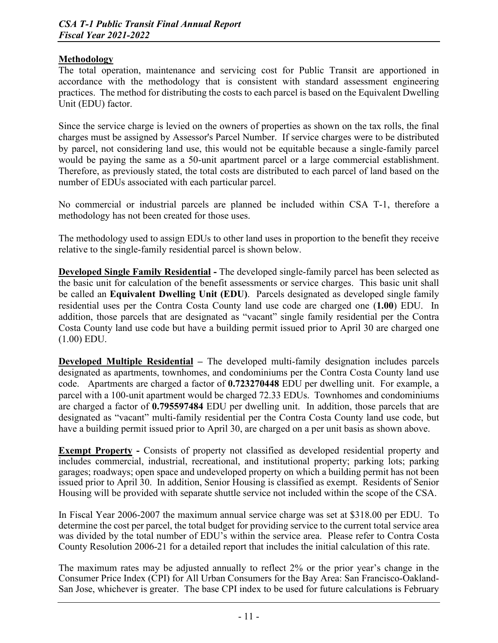#### **Methodology**

The total operation, maintenance and servicing cost for Public Transit are apportioned in accordance with the methodology that is consistent with standard assessment engineering practices. The method for distributing the costs to each parcel is based on the Equivalent Dwelling Unit (EDU) factor.

Since the service charge is levied on the owners of properties as shown on the tax rolls, the final charges must be assigned by Assessor's Parcel Number. If service charges were to be distributed by parcel, not considering land use, this would not be equitable because a single-family parcel would be paying the same as a 50-unit apartment parcel or a large commercial establishment. Therefore, as previously stated, the total costs are distributed to each parcel of land based on the number of EDUs associated with each particular parcel.

No commercial or industrial parcels are planned be included within CSA T-1, therefore a methodology has not been created for those uses.

The methodology used to assign EDUs to other land uses in proportion to the benefit they receive relative to the single-family residential parcel is shown below.

**Developed Single Family Residential -** The developed single-family parcel has been selected as the basic unit for calculation of the benefit assessments or service charges. This basic unit shall be called an **Equivalent Dwelling Unit (EDU)**. Parcels designated as developed single family residential uses per the Contra Costa County land use code are charged one (**1.00**) EDU. In addition, those parcels that are designated as "vacant" single family residential per the Contra Costa County land use code but have a building permit issued prior to April 30 are charged one (1.00) EDU.

**Developed Multiple Residential –** The developed multi-family designation includes parcels designated as apartments, townhomes, and condominiums per the Contra Costa County land use code. Apartments are charged a factor of **0.723270448** EDU per dwelling unit. For example, a parcel with a 100-unit apartment would be charged 72.33 EDUs. Townhomes and condominiums are charged a factor of **0.795597484** EDU per dwelling unit. In addition, those parcels that are designated as "vacant" multi-family residential per the Contra Costa County land use code, but have a building permit issued prior to April 30, are charged on a per unit basis as shown above.

**Exempt Property -** Consists of property not classified as developed residential property and includes commercial, industrial, recreational, and institutional property; parking lots; parking garages; roadways; open space and undeveloped property on which a building permit has not been issued prior to April 30. In addition, Senior Housing is classified as exempt. Residents of Senior Housing will be provided with separate shuttle service not included within the scope of the CSA.

In Fiscal Year 2006-2007 the maximum annual service charge was set at \$318.00 per EDU. To determine the cost per parcel, the total budget for providing service to the current total service area was divided by the total number of EDU's within the service area. Please refer to Contra Costa County Resolution 2006-21 for a detailed report that includes the initial calculation of this rate.

The maximum rates may be adjusted annually to reflect 2% or the prior year's change in the Consumer Price Index (CPI) for All Urban Consumers for the Bay Area: San Francisco-Oakland-San Jose, whichever is greater. The base CPI index to be used for future calculations is February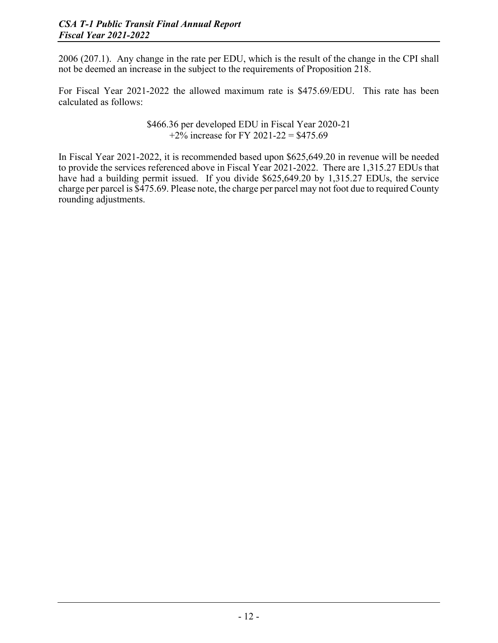2006 (207.1). Any change in the rate per EDU, which is the result of the change in the CPI shall not be deemed an increase in the subject to the requirements of Proposition 218.

For Fiscal Year 2021-2022 the allowed maximum rate is \$475.69/EDU. This rate has been calculated as follows:

> \$466.36 per developed EDU in Fiscal Year 2020-21  $+2\%$  increase for FY 2021-22 = \$475.69

In Fiscal Year 2021-2022, it is recommended based upon \$625,649.20 in revenue will be needed to provide the services referenced above in Fiscal Year 2021-2022. There are 1,315.27 EDUs that have had a building permit issued. If you divide \$625,649.20 by 1,315.27 EDUs, the service charge per parcel is \$475.69. Please note, the charge per parcel may not foot due to required County rounding adjustments.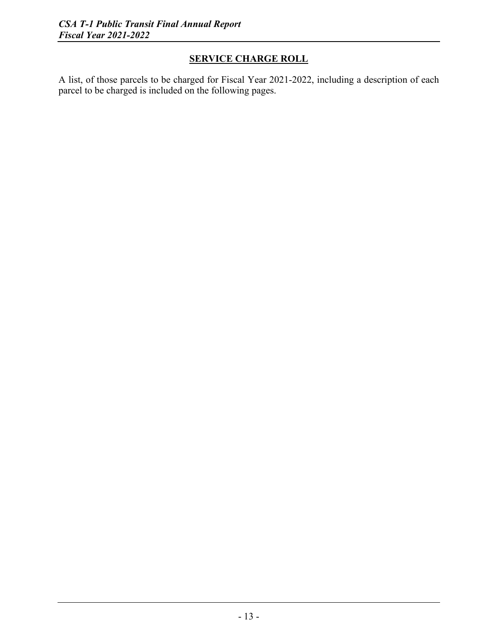### **SERVICE CHARGE ROLL**

A list, of those parcels to be charged for Fiscal Year 2021-2022, including a description of each parcel to be charged is included on the following pages.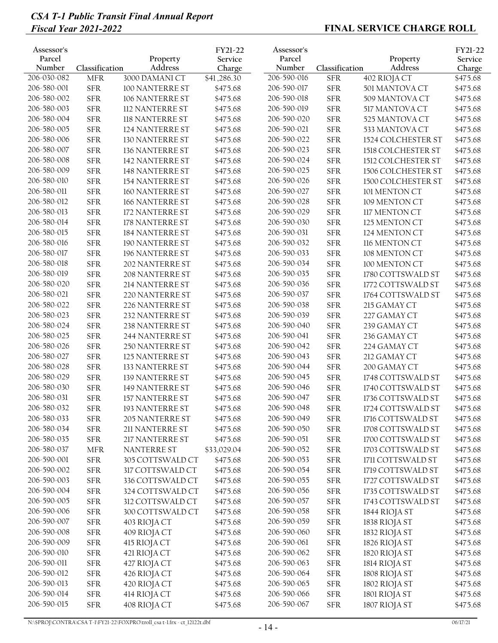| Assessor's<br>Parcel<br>Number | Classification | Property<br>Address          | FY21-22<br>Service<br>Charge | Assessor's<br>Parcel<br>Number | Classification | Property<br>Address            | FY21-22<br>Service<br>Charge |
|--------------------------------|----------------|------------------------------|------------------------------|--------------------------------|----------------|--------------------------------|------------------------------|
| 206-030-082                    | <b>MFR</b>     | 3000 DAMANI CT               | \$41,286.30                  | 206-590-016                    | <b>SFR</b>     | 402 RIOJA CT                   | \$475.68                     |
| 206-580-001                    | <b>SFR</b>     | 100 NANTERRE ST              | \$475.68                     | 206-590-017                    | <b>SFR</b>     | 501 MANTOVA CT                 | \$475.68                     |
| 206-580-002                    | <b>SFR</b>     | 106 NANTERRE ST              | \$475.68                     | 206-590-018                    | <b>SFR</b>     | 509 MANTOVA CT                 | \$475.68                     |
| 206-580-003                    | <b>SFR</b>     | 112 NANTERRE ST              | \$475.68                     | 206-590-019                    | <b>SFR</b>     | 517 MANTOVA CT                 | \$475.68                     |
| 206-580-004                    | <b>SFR</b>     | 118 NANTERRE ST              | \$475.68                     | 206-590-020                    | <b>SFR</b>     | 525 MANTOVA CT                 | \$475.68                     |
| 206-580-005                    | <b>SFR</b>     | 124 NANTERRE ST              | \$475.68                     | 206-590-021                    | <b>SFR</b>     | 533 MANTOVA CT                 | \$475.68                     |
| 206-580-006                    | ${\rm SFR}$    | 130 NANTERRE ST              | \$475.68                     | 206-590-022                    | <b>SFR</b>     | 1524 COLCHESTER ST             | \$475.68                     |
| 206-580-007                    | <b>SFR</b>     | 136 NANTERRE ST              | \$475.68                     | 206-590-023                    | <b>SFR</b>     | 1518 COLCHESTER ST             | \$475.68                     |
| 206-580-008                    | <b>SFR</b>     | 142 NANTERRE ST              | \$475.68                     | 206-590-024                    | <b>SFR</b>     | 1512 COLCHESTER ST             | \$475.68                     |
| 206-580-009                    | <b>SFR</b>     | 148 NANTERRE ST              | \$475.68                     | 206-590-025                    | <b>SFR</b>     | 1506 COLCHESTER ST             | \$475.68                     |
| 206-580-010                    | ${\rm SFR}$    | 154 NANTERRE ST              | \$475.68                     | 206-590-026                    | <b>SFR</b>     | 1500 COLCHESTER ST             | \$475.68                     |
| 206-580-011                    | <b>SFR</b>     | 160 NANTERRE ST              | \$475.68                     | 206-590-027                    | <b>SFR</b>     | 101 MENTON CT                  | \$475.68                     |
| 206-580-012                    | <b>SFR</b>     | 166 NANTERRE ST              | \$475.68                     | 206-590-028                    | <b>SFR</b>     | 109 MENTON CT                  | \$475.68                     |
| 206-580-013                    | <b>SFR</b>     | 172 NANTERRE ST              | \$475.68                     | 206-590-029                    | <b>SFR</b>     | 117 MENTON CT                  | \$475.68                     |
| 206-580-014                    | <b>SFR</b>     | 178 NANTERRE ST              | \$475.68                     | 206-590-030                    | <b>SFR</b>     | 125 MENTON CT                  | \$475.68                     |
| 206-580-015                    | <b>SFR</b>     | <b>184 NANTERRE ST</b>       | \$475.68                     | 206-590-031                    | <b>SFR</b>     | 124 MENTON CT                  | \$475.68                     |
| 206-580-016                    | <b>SFR</b>     | 190 NANTERRE ST              | \$475.68                     | 206-590-032                    | <b>SFR</b>     | 116 MENTON CT                  | \$475.68                     |
| 206-580-017                    | <b>SFR</b>     | 196 NANTERRE ST              | \$475.68                     | 206-590-033                    | <b>SFR</b>     | 108 MENTON CT                  | \$475.68                     |
| 206-580-018                    | <b>SFR</b>     | 202 NANTERRE ST              | \$475.68                     | 206-590-034                    | <b>SFR</b>     | 100 MENTON CT                  | \$475.68                     |
| 206-580-019                    | <b>SFR</b>     | 208 NANTERRE ST              | \$475.68                     | 206-590-035                    | <b>SFR</b>     | 1780 COTTSWALD ST              | \$475.68                     |
| 206-580-020                    | <b>SFR</b>     | 214 NANTERRE ST              | \$475.68                     | 206-590-036                    | <b>SFR</b>     | 1772 COTTSWALD ST              | \$475.68                     |
| 206-580-021                    | <b>SFR</b>     | 220 NANTERRE ST              | \$475.68                     | 206-590-037                    | <b>SFR</b>     | 1764 COTTSWALD ST              | \$475.68                     |
| 206-580-022                    | ${\rm SFR}$    | 226 NANTERRE ST              | \$475.68                     | 206-590-038                    | <b>SFR</b>     | 215 GAMAY CT                   | \$475.68                     |
| 206-580-023                    | ${\rm SFR}$    | 232 NANTERRE ST              | \$475.68                     | 206-590-039                    | <b>SFR</b>     | 227 GAMAY CT                   | \$475.68                     |
| 206-580-024                    | <b>SFR</b>     | 238 NANTERRE ST              | \$475.68                     | 206-590-040                    | <b>SFR</b>     | 239 GAMAY CT                   | \$475.68                     |
| 206-580-025                    | <b>SFR</b>     | 244 NANTERRE ST              | \$475.68                     | 206-590-041                    | <b>SFR</b>     | 236 GAMAY CT                   | \$475.68                     |
| 206-580-026                    | <b>SFR</b>     | 250 NANTERRE ST              | \$475.68                     | 206-590-042                    | <b>SFR</b>     | 224 GAMAY CT                   | \$475.68                     |
| 206-580-027                    | <b>SFR</b>     | 125 NANTERRE ST              | \$475.68                     | 206-590-043                    | <b>SFR</b>     | 212 GAMAY CT                   | \$475.68                     |
| 206-580-028                    | <b>SFR</b>     | 133 NANTERRE ST              | \$475.68                     | 206-590-044                    | <b>SFR</b>     | 200 GAMAY CT                   | \$475.68                     |
| 206-580-029                    | ${\rm SFR}$    | 139 NANTERRE ST              | \$475.68                     | 206-590-045                    | <b>SFR</b>     | 1748 COTTSWALD ST              | \$475.68                     |
| 206-580-030                    | ${\rm SFR}$    | 149 NANTERRE ST              | \$475.68                     | 206-590-046                    | <b>SFR</b>     | 1740 COTTSWALD ST              | \$475.68                     |
| 206-580-031                    | <b>SFR</b>     | 157 NANTERRE ST              | \$475.68                     | 206-590-047                    | <b>SFR</b>     | 1736 COTTSWALD ST              | \$475.68                     |
| 206-580-032                    | ${\rm SFR}$    | 193 NANTERRE ST              | \$475.68                     | 206-590-048                    | <b>SFR</b>     | 1724 COTTSWALD ST              | \$475.68                     |
| 206-580-033                    | <b>SFR</b>     | 205 NANTERRE ST              | \$475.68                     | 206-590-049                    | <b>SFR</b>     | 1716 COTTSWALD ST              | \$475.68                     |
| 206-580-034                    | ${\rm SFR}$    | 211 NANTERRE ST              | \$475.68                     | 206-590-050                    | <b>SFR</b>     | 1708 COTTSWALD ST              | \$475.68                     |
| 206-580-035                    | <b>SFR</b>     | 217 NANTERRE ST              | \$475.68                     | 206-590-051                    | <b>SFR</b>     | 1700 COTTSWALD ST              | \$475.68                     |
| 206-580-037                    | <b>MFR</b>     | NANTERRE ST                  | \$33,029.04                  | 206-590-052                    | <b>SFR</b>     | 1703 COTTSWALD ST              | \$475.68                     |
| 206-590-001                    | ${\rm SFR}$    | 305 COTTSWALD CT             | \$475.68                     | 206-590-053                    | <b>SFR</b>     | 1711 COTTSWALD ST              | \$475.68                     |
| 206-590-002                    | ${\rm SFR}$    | 317 COTTSWALD CT             | \$475.68                     | 206-590-054                    | <b>SFR</b>     | 1719 COTTSWALD ST              | \$475.68                     |
| 206-590-003                    | ${\rm SFR}$    | 336 COTTSWALD CT             | \$475.68                     | 206-590-055                    | <b>SFR</b>     | 1727 COTTSWALD ST              | \$475.68                     |
| 206-590-004                    | ${\rm SFR}$    | 324 COTTSWALD CT             | \$475.68                     | 206-590-056                    | <b>SFR</b>     | 1735 COTTSWALD ST              | \$475.68                     |
| 206-590-005                    | ${\rm SFR}$    | 312 COTTSWALD CT             | \$475.68                     | 206-590-057                    | <b>SFR</b>     | 1743 COTTSWALD ST              | \$475.68                     |
| 206-590-006                    | <b>SFR</b>     | 300 COTTSWALD CT             | \$475.68                     | 206-590-058                    | <b>SFR</b>     | 1844 RIOJA ST                  | \$475.68                     |
| 206-590-007                    | ${\rm SFR}$    | 403 RIOJA CT                 | \$475.68                     | 206-590-059                    | ${\rm SFR}$    | 1838 RIOJA ST                  | \$475.68                     |
| 206-590-008                    | ${\rm SFR}$    |                              |                              | 206-590-060                    | <b>SFR</b>     |                                |                              |
| 206-590-009                    | <b>SFR</b>     | 409 RIOJA CT<br>415 RIOJA CT | \$475.68<br>\$475.68         | 206-590-061                    | <b>SFR</b>     | 1832 RIOJA ST                  | \$475.68<br>\$475.68         |
| 206-590-010                    | ${\rm SFR}$    |                              | \$475.68                     | 206-590-062                    | <b>SFR</b>     | 1826 RIOJA ST                  |                              |
| 206-590-011                    | ${\rm SFR}$    | 421 RIOJA CT                 | \$475.68                     | 206-590-063                    | ${\rm SFR}$    | 1820 RIOJA ST                  | \$475.68                     |
| 206-590-012                    | <b>SFR</b>     | 427 RIOJA CT<br>426 RIOJA CT | \$475.68                     | 206-590-064                    | <b>SFR</b>     | 1814 RIOJA ST<br>1808 RIOJA ST | \$475.68<br>\$475.68         |
| 206-590-013                    | ${\rm SFR}$    | 420 RIOJA CT                 | \$475.68                     | 206-590-065                    | <b>SFR</b>     | 1802 RIOJA ST                  | \$475.68                     |
| 206-590-014                    | <b>SFR</b>     | 414 RIOJA CT                 | \$475.68                     | 206-590-066                    | <b>SFR</b>     | 1801 RIOJA ST                  | \$475.68                     |
| 206-590-015                    | ${\rm SFR}$    | 408 RIOJA CT                 | \$475.68                     | 206-590-067                    | ${\rm SFR}$    | 1807 RIOJA ST                  | \$475.68                     |
|                                |                |                              |                              |                                |                |                                |                              |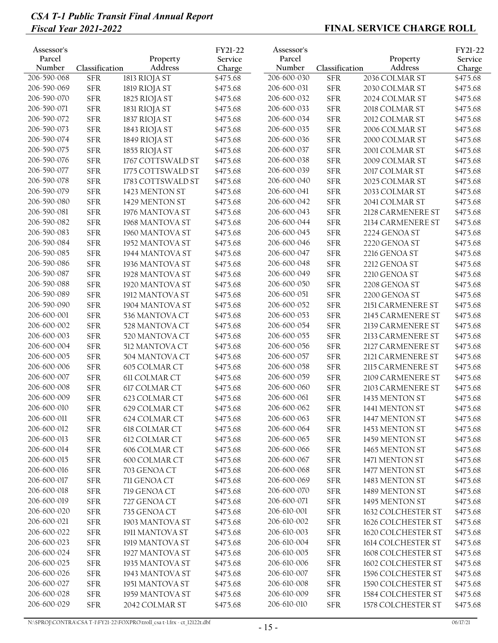| Assessor's<br>Parcel<br>Number | Classification | Property<br>Address | FY21-22<br>Service<br>Charge | Assessor's<br>Parcel<br>Number | Classification | Property<br>Address | FY21-22<br>Service<br>Charge |
|--------------------------------|----------------|---------------------|------------------------------|--------------------------------|----------------|---------------------|------------------------------|
| 206-590-068                    | <b>SFR</b>     | 1813 RIOJA ST       | \$475.68                     | 206-600-030                    | <b>SFR</b>     | 2036 COLMAR ST      | \$475.68                     |
| 206-590-069                    | ${\rm SFR}$    | 1819 RIOJA ST       | \$475.68                     | 206-600-031                    | <b>SFR</b>     | 2030 COLMAR ST      | \$475.68                     |
| 206-590-070                    | ${\rm SFR}$    | 1825 RIOJA ST       | \$475.68                     | 206-600-032                    | <b>SFR</b>     | 2024 COLMAR ST      | \$475.68                     |
| 206-590-071                    | ${\rm SFR}$    | 1831 RIOJA ST       | \$475.68                     | 206-600-033                    | <b>SFR</b>     | 2018 COLMAR ST      | \$475.68                     |
| 206-590-072                    | ${\rm SFR}$    | 1837 RIOJA ST       | \$475.68                     | 206-600-034                    | <b>SFR</b>     | 2012 COLMAR ST      | \$475.68                     |
| 206-590-073                    | ${\rm SFR}$    | 1843 RIOJA ST       | \$475.68                     | 206-600-035                    | <b>SFR</b>     | 2006 COLMAR ST      | \$475.68                     |
| 206-590-074                    | ${\rm SFR}$    | 1849 RIOJA ST       | \$475.68                     | 206-600-036                    | <b>SFR</b>     | 2000 COLMAR ST      | \$475.68                     |
| 206-590-075                    | ${\rm SFR}$    | 1855 RIOJA ST       | \$475.68                     | 206-600-037                    | <b>SFR</b>     | 2001 COLMAR ST      | \$475.68                     |
| 206-590-076                    | <b>SFR</b>     | 1767 COTTSWALD ST   | \$475.68                     | 206-600-038                    | <b>SFR</b>     | 2009 COLMAR ST      | \$475.68                     |
| 206-590-077                    | ${\rm SFR}$    | 1775 COTTSWALD ST   | \$475.68                     | 206-600-039                    | <b>SFR</b>     | 2017 COLMAR ST      | \$475.68                     |
| 206-590-078                    | ${\rm SFR}$    | 1783 COTTSWALD ST   | \$475.68                     | 206-600-040                    | <b>SFR</b>     | 2025 COLMAR ST      | \$475.68                     |
| 206-590-079                    | ${\rm SFR}$    | 1423 MENTON ST      | \$475.68                     | 206-600-041                    | <b>SFR</b>     | 2033 COLMAR ST      | \$475.68                     |
| 206-590-080                    | ${\rm SFR}$    | 1429 MENTON ST      | \$475.68                     | 206-600-042                    | <b>SFR</b>     | 2041 COLMAR ST      | \$475.68                     |
| 206-590-081                    | ${\rm SFR}$    | 1976 MANTOVA ST     | \$475.68                     | 206-600-043                    | <b>SFR</b>     | 2128 CARMENERE ST   | \$475.68                     |
| 206-590-082                    | ${\rm SFR}$    | 1968 MANTOVA ST     | \$475.68                     | 206-600-044                    | <b>SFR</b>     | 2134 CARMENERE ST   | \$475.68                     |
| 206-590-083                    | ${\rm SFR}$    | 1960 MANTOVA ST     | \$475.68                     | 206-600-045                    | <b>SFR</b>     | 2224 GENOA ST       | \$475.68                     |
| 206-590-084                    | ${\rm SFR}$    | 1952 MANTOVA ST     | \$475.68                     | 206-600-046                    | <b>SFR</b>     | 2220 GENOA ST       | \$475.68                     |
| 206-590-085                    | <b>SFR</b>     | 1944 MANTOVA ST     | \$475.68                     | 206-600-047                    | <b>SFR</b>     | 2216 GENOA ST       | \$475.68                     |
| 206-590-086                    | <b>SFR</b>     | 1936 MANTOVA ST     | \$475.68                     | 206-600-048                    | <b>SFR</b>     | 2212 GENOA ST       | \$475.68                     |
| 206-590-087                    | ${\rm SFR}$    | 1928 MANTOVA ST     | \$475.68                     | 206-600-049                    | <b>SFR</b>     | 2210 GENOA ST       | \$475.68                     |
| 206-590-088                    | ${\rm SFR}$    | 1920 MANTOVA ST     | \$475.68                     | 206-600-050                    | <b>SFR</b>     | 2208 GENOA ST       | \$475.68                     |
| 206-590-089                    | ${\rm SFR}$    | 1912 MANTOVA ST     | \$475.68                     | 206-600-051                    | <b>SFR</b>     | 2200 GENOA ST       | \$475.68                     |
| 206-590-090                    | ${\rm SFR}$    | 1904 MANTOVA ST     | \$475.68                     | 206-600-052                    | <b>SFR</b>     | 2151 CARMENERE ST   | \$475.68                     |
| 206-600-001                    | ${\rm SFR}$    | 536 MANTOVA CT      | \$475.68                     | 206-600-053                    | <b>SFR</b>     | 2145 CARMENERE ST   | \$475.68                     |
| 206-600-002                    | <b>SFR</b>     | 528 MANTOVA CT      | \$475.68                     | 206-600-054                    | <b>SFR</b>     | 2139 CARMENERE ST   | \$475.68                     |
| 206-600-003                    | <b>SFR</b>     | 520 MANTOVA CT      | \$475.68                     | 206-600-055                    | <b>SFR</b>     | 2133 CARMENERE ST   | \$475.68                     |
| 206-600-004                    | ${\rm SFR}$    | 512 MANTOVA CT      | \$475.68                     | 206-600-056                    | <b>SFR</b>     | 2127 CARMENERE ST   | \$475.68                     |
| 206-600-005                    | ${\rm SFR}$    | 504 MANTOVA CT      | \$475.68                     | 206-600-057                    | <b>SFR</b>     | 2121 CARMENERE ST   | \$475.68                     |
| 206-600-006                    | ${\rm SFR}$    | 605 COLMAR CT       | \$475.68                     | 206-600-058                    | <b>SFR</b>     | 2115 CARMENERE ST   | \$475.68                     |
| 206-600-007                    | ${\rm SFR}$    | 611 COLMAR CT       | \$475.68                     | 206-600-059                    | <b>SFR</b>     | 2109 CARMENERE ST   | \$475.68                     |
| 206-600-008                    | ${\rm SFR}$    | 617 COLMAR CT       | \$475.68                     | 206-600-060                    | <b>SFR</b>     | 2103 CARMENERE ST   | \$475.68                     |
| 206-600-009                    | <b>SFR</b>     | 623 COLMAR CT       | \$475.68                     | 206-600-061                    | <b>SFR</b>     | 1435 MENTON ST      | \$475.68                     |
| 206-600-010                    | ${\rm SFR}$    | 629 COLMAR CT       | \$475.68                     | 206-600-062                    | ${\rm SFR}$    | 1441 MENTON ST      | \$475.68                     |
| 206-600-011                    | <b>SFR</b>     | 624 COLMAR CT       | \$475.68                     | 206-600-063                    | <b>SFR</b>     | 1447 MENTON ST      | \$475.68                     |
| 206-600-012                    | ${\rm SFR}$    | 618 COLMAR CT       | \$475.68                     | 206-600-064                    | <b>SFR</b>     | 1453 MENTON ST      | \$475.68                     |
| 206-600-013                    | <b>SFR</b>     | 612 COLMAR CT       | \$475.68                     | 206-600-065                    | <b>SFR</b>     | 1459 MENTON ST      | \$475.68                     |
| 206-600-014                    | ${\rm SFR}$    | 606 COLMAR CT       | \$475.68                     | 206-600-066                    | <b>SFR</b>     | 1465 MENTON ST      | \$475.68                     |
| 206-600-015                    | ${\rm SFR}$    | 600 COLMAR CT       | \$475.68                     | 206-600-067                    | <b>SFR</b>     | 1471 MENTON ST      | \$475.68                     |
| 206-600-016                    | ${\rm SFR}$    | 703 GENOA CT        | \$475.68                     | 206-600-068                    | ${\rm SFR}$    | 1477 MENTON ST      | \$475.68                     |
| 206-600-017                    | ${\rm SFR}$    | 711 GENOA CT        | \$475.68                     | 206-600-069                    | <b>SFR</b>     | 1483 MENTON ST      |                              |
| 206-600-018                    | ${\rm SFR}$    |                     |                              | 206-600-070                    | <b>SFR</b>     |                     | \$475.68                     |
| 206-600-019                    |                | 719 GENOA CT        | \$475.68                     | 206-600-071                    |                | 1489 MENTON ST      | \$475.68                     |
| 206-600-020                    | ${\rm SFR}$    | 727 GENOA CT        | \$475.68                     | 206-610-001                    | <b>SFR</b>     | 1495 MENTON ST      | \$475.68                     |
| 206-600-021                    | ${\rm SFR}$    | 735 GENOA CT        | \$475.68                     | 206-610-002                    | <b>SFR</b>     | 1632 COLCHESTER ST  | \$475.68                     |
|                                | ${\rm SFR}$    | 1903 MANTOVA ST     | \$475.68                     |                                | <b>SFR</b>     | 1626 COLCHESTER ST  | \$475.68                     |
| 206-600-022                    | ${\rm SFR}$    | 1911 MANTOVA ST     | \$475.68                     | 206-610-003                    | <b>SFR</b>     | 1620 COLCHESTER ST  | \$475.68                     |
| 206-600-023                    | <b>SFR</b>     | 1919 MANTOVA ST     | \$475.68                     | 206-610-004                    | <b>SFR</b>     | 1614 COLCHESTER ST  | \$475.68                     |
| 206-600-024                    | ${\rm SFR}$    | 1927 MANTOVA ST     | \$475.68                     | 206-610-005                    | ${\rm SFR}$    | 1608 COLCHESTER ST  | \$475.68                     |
| 206-600-025                    | ${\rm SFR}$    | 1935 MANTOVA ST     | \$475.68                     | 206-610-006                    | <b>SFR</b>     | 1602 COLCHESTER ST  | \$475.68                     |
| 206-600-026                    | ${\rm SFR}$    | 1943 MANTOVA ST     | \$475.68                     | 206-610-007                    | <b>SFR</b>     | 1596 COLCHESTER ST  | \$475.68                     |
| 206-600-027                    | ${\rm SFR}$    | 1951 MANTOVA ST     | \$475.68                     | 206-610-008                    | <b>SFR</b>     | 1590 COLCHESTER ST  | \$475.68                     |
| 206-600-028                    | ${\rm SFR}$    | 1959 MANTOVA ST     | \$475.68                     | 206-610-009                    | <b>SFR</b>     | 1584 COLCHESTER ST  | \$475.68                     |
| 206-600-029                    | ${\rm SFR}$    | 2042 COLMAR ST      | \$475.68                     | 206-610-010                    | ${\rm SFR}$    | 1578 COLCHESTER ST  | \$475.68                     |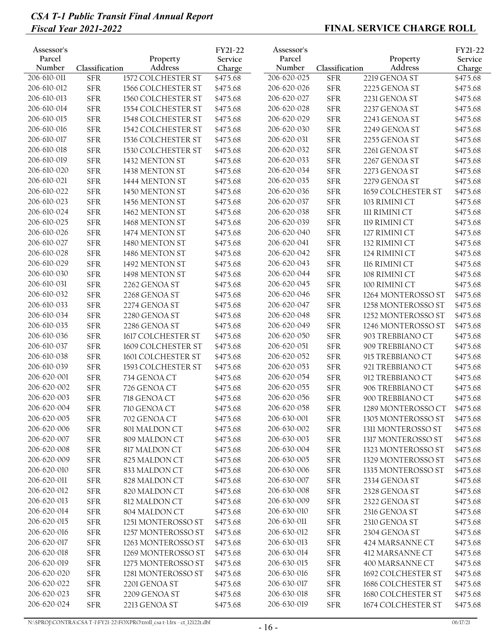| Assessor's<br>Parcel<br>Number | Classification | Property<br>Address | FY21-22<br>Service<br>Charge | Assessor's<br>Parcel<br>Number | Classification | Property<br>Address  | FY21-22<br>Service<br>Charge |
|--------------------------------|----------------|---------------------|------------------------------|--------------------------------|----------------|----------------------|------------------------------|
| 206-610-011                    | <b>SFR</b>     | 1572 COLCHESTER ST  | \$475.68                     | 206-620-025                    | <b>SFR</b>     | 2219 GENOA ST        | \$475.68                     |
| 206-610-012                    | <b>SFR</b>     | 1566 COLCHESTER ST  | \$475.68                     | 206-620-026                    | ${\rm SFR}$    | 2225 GENOA ST        | \$475.68                     |
| 206-610-013                    | <b>SFR</b>     | 1560 COLCHESTER ST  | \$475.68                     | 206-620-027                    | <b>SFR</b>     | 2231 GENOA ST        | \$475.68                     |
| 206-610-014                    | <b>SFR</b>     | 1554 COLCHESTER ST  | \$475.68                     | 206-620-028                    | ${\rm SFR}$    | 2237 GENOA ST        | \$475.68                     |
| 206-610-015                    | <b>SFR</b>     | 1548 COLCHESTER ST  | \$475.68                     | 206-620-029                    | <b>SFR</b>     | 2243 GENOA ST        | \$475.68                     |
| 206-610-016                    | <b>SFR</b>     | 1542 COLCHESTER ST  | \$475.68                     | 206-620-030                    | ${\rm SFR}$    | 2249 GENOA ST        | \$475.68                     |
| 206-610-017                    | <b>SFR</b>     | 1536 COLCHESTER ST  | \$475.68                     | 206-620-031                    | <b>SFR</b>     | 2255 GENOA ST        | \$475.68                     |
| 206-610-018                    | <b>SFR</b>     | 1530 COLCHESTER ST  | \$475.68                     | 206-620-032                    | ${\rm SFR}$    | 2261 GENOA ST        | \$475.68                     |
| 206-610-019                    | <b>SFR</b>     | 1432 MENTON ST      | \$475.68                     | 206-620-033                    | <b>SFR</b>     | 2267 GENOA ST        | \$475.68                     |
| 206-610-020                    | <b>SFR</b>     | 1438 MENTON ST      | \$475.68                     | 206-620-034                    | ${\rm SFR}$    | 2273 GENOA ST        | \$475.68                     |
| 206-610-021                    | <b>SFR</b>     | 1444 MENTON ST      | \$475.68                     | 206-620-035                    | <b>SFR</b>     | 2279 GENOA ST        | \$475.68                     |
| 206-610-022                    | <b>SFR</b>     | 1450 MENTON ST      | \$475.68                     | 206-620-036                    | <b>SFR</b>     | 1659 COLCHESTER ST   | \$475.68                     |
| 206-610-023                    | <b>SFR</b>     | 1456 MENTON ST      | \$475.68                     | 206-620-037                    | <b>SFR</b>     | 103 RIMINI CT        | \$475.68                     |
| 206-610-024                    | <b>SFR</b>     | 1462 MENTON ST      | \$475.68                     | 206-620-038                    | <b>SFR</b>     | <b>III RIMINI CT</b> | \$475.68                     |
| 206-610-025                    | <b>SFR</b>     | 1468 MENTON ST      | \$475.68                     | 206-620-039                    | <b>SFR</b>     | 119 RIMINI CT        | \$475.68                     |
| 206-610-026                    | <b>SFR</b>     | 1474 MENTON ST      | \$475.68                     | 206-620-040                    | ${\rm SFR}$    | 127 RIMINI CT        | \$475.68                     |
| 206-610-027                    | <b>SFR</b>     | 1480 MENTON ST      | \$475.68                     | 206-620-041                    | <b>SFR</b>     | 132 RIMINI CT        | \$475.68                     |
| 206-610-028                    | <b>SFR</b>     | 1486 MENTON ST      | \$475.68                     | 206-620-042                    | <b>SFR</b>     | 124 RIMINI CT        | \$475.68                     |
| 206-610-029                    | <b>SFR</b>     | 1492 MENTON ST      | \$475.68                     | 206-620-043                    | <b>SFR</b>     | 116 RIMINI CT        | \$475.68                     |
| 206-610-030                    | <b>SFR</b>     | 1498 MENTON ST      | \$475.68                     | 206-620-044                    | <b>SFR</b>     | 108 RIMINI CT        | \$475.68                     |
| 206-610-031                    | <b>SFR</b>     | 2262 GENOA ST       | \$475.68                     | 206-620-045                    | <b>SFR</b>     | 100 RIMINI CT        | \$475.68                     |
| 206-610-032                    | <b>SFR</b>     | 2268 GENOA ST       | \$475.68                     | 206-620-046                    | <b>SFR</b>     | 1264 MONTEROSSO ST   | \$475.68                     |
| 206-610-033                    | <b>SFR</b>     | 2274 GENOA ST       | \$475.68                     | 206-620-047                    | <b>SFR</b>     | 1258 MONTEROSSO ST   | \$475.68                     |
| 206-610-034                    | <b>SFR</b>     | 2280 GENOA ST       | \$475.68                     | 206-620-048                    | <b>SFR</b>     | 1252 MONTEROSSO ST   | \$475.68                     |
| 206-610-035                    | <b>SFR</b>     | 2286 GENOA ST       | \$475.68                     | 206-620-049                    | <b>SFR</b>     | 1246 MONTEROSSO ST   | \$475.68                     |
| 206-610-036                    | <b>SFR</b>     | 1617 COLCHESTER ST  | \$475.68                     | 206-620-050                    | ${\rm SFR}$    | 903 TREBBIANO CT     | \$475.68                     |
| 206-610-037                    | <b>SFR</b>     | 1609 COLCHESTER ST  | \$475.68                     | 206-620-051                    | ${\rm SFR}$    | 909 TREBBIANO CT     | \$475.68                     |
| 206-610-038                    | <b>SFR</b>     | 1601 COLCHESTER ST  | \$475.68                     | 206-620-052                    | <b>SFR</b>     | 915 TREBBIANO CT     | \$475.68                     |
| 206-610-039                    | <b>SFR</b>     | 1593 COLCHESTER ST  | \$475.68                     | 206-620-053                    | ${\rm SFR}$    | 921 TREBBIANO CT     | \$475.68                     |
| 206-620-001                    | <b>SFR</b>     | 734 GENOA CT        | \$475.68                     | 206-620-054                    | ${\rm SFR}$    | 912 TREBBIANO CT     | \$475.68                     |
| 206-620-002                    | <b>SFR</b>     | 726 GENOA CT        | \$475.68                     | 206-620-055                    | ${\rm SFR}$    | 906 TREBBIANO CT     | \$475.68                     |
| 206-620-003                    | <b>SFR</b>     | 718 GENOA CT        | \$475.68                     | 206-620-056                    | <b>SFR</b>     | 900 TREBBIANO CT     | \$475.68                     |
| 206-620-004                    | <b>SFR</b>     | 710 GENOA CT        | \$475.68                     | 206-620-058                    | ${\rm SFR}$    | 1289 MONTEROSSO CT   | \$475.68                     |
| 206-620-005                    | <b>SFR</b>     | 702 GENOA CT        | \$475.68                     | 206-630-001                    | <b>SFR</b>     | 1305 MONTEROSSO ST   | \$475.68                     |
| 206-620-006                    | ${\rm SFR}$    | 801 MALDON CT       | \$475.68                     | 206-630-002                    | ${\rm SFR}$    | 1311 MONTEROSSO ST   | \$475.68                     |
| 206-620-007                    | <b>SFR</b>     | 809 MALDON CT       | \$475.68                     | 206-630-003                    | <b>SFR</b>     | 1317 MONTEROSSO ST   | \$475.68                     |
| 206-620-008                    | ${\rm SFR}$    | 817 MALDON CT       | \$475.68                     | 206-630-004                    | ${\rm SFR}$    | 1323 MONTEROSSO ST   | \$475.68                     |
| 206-620-009                    | <b>SFR</b>     | 825 MALDON CT       | \$475.68                     | 206-630-005                    | ${\rm SFR}$    | 1329 MONTEROSSO ST   | \$475.68                     |
| 206-620-010                    | ${\rm SFR}$    | 833 MALDON CT       | \$475.68                     | 206-630-006                    | ${\rm SFR}$    | 1335 MONTEROSSO ST   | \$475.68                     |
| 206-620-011                    | <b>SFR</b>     | 828 MALDON CT       | \$475.68                     | 206-630-007                    | <b>SFR</b>     | 2334 GENOA ST        | \$475.68                     |
| 206-620-012                    | <b>SFR</b>     | 820 MALDON CT       | \$475.68                     | 206-630-008                    | ${\rm SFR}$    | 2328 GENOA ST        | \$475.68                     |
| 206-620-013                    | ${\rm SFR}$    | 812 MALDON CT       | \$475.68                     | 206-630-009                    | <b>SFR</b>     | 2322 GENOA ST        | \$475.68                     |
| 206-620-014                    | <b>SFR</b>     | 804 MALDON CT       | \$475.68                     | 206-630-010                    | ${\rm SFR}$    | 2316 GENOA ST        | \$475.68                     |
| 206-620-015                    | ${\rm SFR}$    | 1251 MONTEROSSO ST  | \$475.68                     | 206-630-011                    | <b>SFR</b>     | 2310 GENOA ST        | \$475.68                     |
| 206-620-016                    | ${\rm SFR}$    | 1257 MONTEROSSO ST  | \$475.68                     | 206-630-012                    | ${\rm SFR}$    | 2304 GENOA ST        | \$475.68                     |
| 206-620-017                    | <b>SFR</b>     | 1263 MONTEROSSO ST  | \$475.68                     | 206-630-013                    | ${\rm SFR}$    | 424 MARSANNE CT      | \$475.68                     |
| 206-620-018                    | ${\rm SFR}$    | 1269 MONTEROSSO ST  | \$475.68                     | 206-630-014                    | ${\rm SFR}$    | 412 MARSANNE CT      | \$475.68                     |
| 206-620-019                    | ${\rm SFR}$    | 1275 MONTEROSSO ST  | \$475.68                     | 206-630-015                    | <b>SFR</b>     | 400 MARSANNE CT      | \$475.68                     |
| 206-620-020                    | ${\rm SFR}$    | 1281 MONTEROSSO ST  | \$475.68                     | 206-630-016                    | <b>SFR</b>     | 1692 COLCHESTER ST   | \$475.68                     |
| 206-620-022                    | <b>SFR</b>     | 2201 GENOA ST       | \$475.68                     | 206-630-017                    | ${\rm SFR}$    | 1686 COLCHESTER ST   | \$475.68                     |
| 206-620-023                    | <b>SFR</b>     | 2209 GENOA ST       | \$475.68                     | 206-630-018                    | ${\rm SFR}$    | 1680 COLCHESTER ST   | \$475.68                     |
| 206-620-024                    | ${\rm SFR}$    | 2213 GENOA ST       | \$475.68                     | 206-630-019                    | ${\rm SFR}$    | 1674 COLCHESTER ST   | \$475.68                     |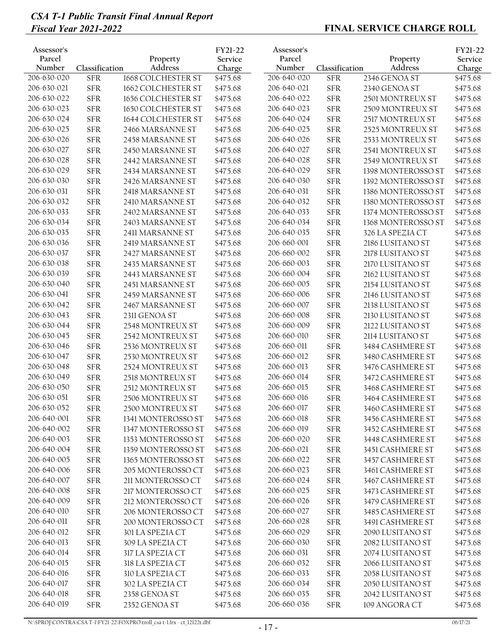| Assessor's       |                |                     | FY21-22           | Assessor's       |                |                     | FY21-22           |
|------------------|----------------|---------------------|-------------------|------------------|----------------|---------------------|-------------------|
| Parcel<br>Number | Classification | Property<br>Address | Service<br>Charge | Parcel<br>Number | Classification | Property<br>Address | Service<br>Charge |
| 206-630-020      | <b>SFR</b>     | 1668 COLCHESTER ST  | \$475.68          | 206-640-020      | ${\rm SFR}$    | 2346 GENOA ST       | \$475.68          |
| 206-630-021      | <b>SFR</b>     | 1662 COLCHESTER ST  | \$475.68          | 206-640-021      | <b>SFR</b>     | 2340 GENOA ST       | \$475.68          |
| 206-630-022      | <b>SFR</b>     | 1656 COLCHESTER ST  | \$475.68          | 206-640-022      | <b>SFR</b>     | 2501 MONTREUX ST    | \$475.68          |
| 206-630-023      | <b>SFR</b>     | 1650 COLCHESTER ST  | \$475.68          | 206-640-023      | <b>SFR</b>     | 2509 MONTREUX ST    | \$475.68          |
| 206-630-024      | <b>SFR</b>     | 1644 COLCHESTER ST  | \$475.68          | 206-640-024      | <b>SFR</b>     | 2517 MONTREUX ST    | \$475.68          |
| 206-630-025      | <b>SFR</b>     | 2466 MARSANNE ST    | \$475.68          | 206-640-025      | <b>SFR</b>     | 2525 MONTREUX ST    | \$475.68          |
| 206-630-026      | <b>SFR</b>     | 2458 MARSANNE ST    | \$475.68          | 206-640-026      | <b>SFR</b>     | 2533 MONTREUX ST    | \$475.68          |
| 206-630-027      | <b>SFR</b>     | 2450 MARSANNE ST    | \$475.68          | 206-640-027      | <b>SFR</b>     | 2541 MONTREUX ST    | \$475.68          |
| 206-630-028      | <b>SFR</b>     | 2442 MARSANNE ST    | \$475.68          | 206-640-028      | <b>SFR</b>     | 2549 MONTREUX ST    | \$475.68          |
| 206-630-029      | <b>SFR</b>     | 2434 MARSANNE ST    | \$475.68          | 206-640-029      | <b>SFR</b>     | 1398 MONTEROSSO ST  | \$475.68          |
| 206-630-030      | <b>SFR</b>     | 2426 MARSANNE ST    | \$475.68          | 206-640-030      | <b>SFR</b>     | 1392 MONTEROSSO ST  | \$475.68          |
| 206-630-031      | <b>SFR</b>     | 2418 MARSANNE ST    | \$475.68          | 206-640-031      | <b>SFR</b>     | 1386 MONTEROSSO ST  | \$475.68          |
| 206-630-032      | <b>SFR</b>     | 2410 MARSANNE ST    | \$475.68          | 206-640-032      | <b>SFR</b>     | 1380 MONTEROSSO ST  | \$475.68          |
| 206-630-033      | <b>SFR</b>     | 2402 MARSANNE ST    | \$475.68          | 206-640-033      | <b>SFR</b>     | 1374 MONTEROSSO ST  | \$475.68          |
| 206-630-034      | <b>SFR</b>     | 2403 MARSANNE ST    | \$475.68          | 206-640-034      | <b>SFR</b>     | 1368 MONTEROSSO ST  | \$475.68          |
| 206-630-035      | ${\rm SFR}$    | 2411 MARSANNE ST    | \$475.68          | 206-640-035      | <b>SFR</b>     | 326 LA SPEZIA CT    | \$475.68          |
| 206-630-036      | <b>SFR</b>     | 2419 MARSANNE ST    | \$475.68          | 206-660-001      | <b>SFR</b>     | 2186 LUSITANO ST    | \$475.68          |
| 206-630-037      | <b>SFR</b>     | 2427 MARSANNE ST    | \$475.68          | 206-660-002      | <b>SFR</b>     | 2178 LUSITANO ST    | \$475.68          |
| 206-630-038      | <b>SFR</b>     | 2435 MARSANNE ST    | \$475.68          | 206-660-003      | <b>SFR</b>     | 2170 LUSITANO ST    | \$475.68          |
| 206-630-039      | <b>SFR</b>     | 2443 MARSANNE ST    | \$475.68          | 206-660-004      | <b>SFR</b>     | 2162 LUSITANO ST    | \$475.68          |
| 206-630-040      | <b>SFR</b>     | 2451 MARSANNE ST    | \$475.68          | 206-660-005      | <b>SFR</b>     | 2154 LUSITANO ST    | \$475.68          |
| 206-630-041      | <b>SFR</b>     | 2459 MARSANNE ST    | \$475.68          | 206-660-006      | <b>SFR</b>     | 2146 LUSITANO ST    | \$475.68          |
| 206-630-042      | <b>SFR</b>     | 2467 MARSANNE ST    | \$475.68          | 206-660-007      | <b>SFR</b>     | 2138 LUSITANO ST    | \$475.68          |
| 206-630-043      | ${\rm SFR}$    | 2311 GENOA ST       | \$475.68          | 206-660-008      | <b>SFR</b>     | 2130 LUSITANO ST    | \$475.68          |
| 206-630-044      | ${\rm SFR}$    | 2548 MONTREUX ST    | \$475.68          | 206-660-009      | <b>SFR</b>     | 2122 LUSITANO ST    | \$475.68          |
| 206-630-045      | <b>SFR</b>     | 2542 MONTREUX ST    | \$475.68          | 206-660-010      | <b>SFR</b>     | 2114 LUSITANO ST    | \$475.68          |
| 206-630-046      | <b>SFR</b>     | 2536 MONTREUX ST    | \$475.68          | 206-660-011      | <b>SFR</b>     | 3484 CASHMERE ST    | \$475.68          |
| 206-630-047      | <b>SFR</b>     | 2530 MONTREUX ST    | \$475.68          | 206-660-012      | <b>SFR</b>     | 3480 CASHMERE ST    | \$475.68          |
| 206-630-048      | <b>SFR</b>     | 2524 MONTREUX ST    | \$475.68          | 206-660-013      | <b>SFR</b>     | 3476 CASHMERE ST    | \$475.68          |
| 206-630-049      | <b>SFR</b>     | 2518 MONTREUX ST    | \$475.68          | 206-660-014      | <b>SFR</b>     | 3472 CASHMERE ST    | \$475.68          |
| 206-630-050      | <b>SFR</b>     | 2512 MONTREUX ST    | \$475.68          | 206-660-015      | <b>SFR</b>     | 3468 CASHMERE ST    | \$475.68          |
| 206-630-051      | <b>SFR</b>     | 2506 MONTREUX ST    | \$475.68          | 206-660-016      | <b>SFR</b>     | 3464 CASHMERE ST    | \$475.68          |
| 206-630-052      | <b>SFR</b>     | 2500 MONTREUX ST    | \$475.68          | 206-660-017      | <b>SFR</b>     | 3460 CASHMERE ST    | \$475.68          |
| 206-640-001      | <b>SFR</b>     | 1341 MONTEROSSO ST  | \$475.68          | 206-660-018      | <b>SFR</b>     | 3456 CASHMERE ST    | \$475.68          |
| 206-640-002      | ${\rm SFR}$    | 1347 MONTEROSSO ST  | \$475.68          | 206-660-019      | <b>SFR</b>     | 3452 CASHMERE ST    | \$475.68          |
| 206-640-003      | ${\rm SFR}$    | 1353 MONTEROSSO ST  | \$475.68          | 206-660-020      | <b>SFR</b>     | 3448 CASHMERE ST    | \$475.68          |
| 206-640-004      | <b>SFR</b>     | 1359 MONTEROSSO ST  | \$475.68          | 206-660-021      | <b>SFR</b>     | 3451 CASHMERE ST    | \$475.68          |
| 206-640-005      | <b>SFR</b>     | 1365 MONTEROSSO ST  | \$475.68          | 206-660-022      | <b>SFR</b>     | 3457 CASHMERE ST    | \$475.68          |
| 206-640-006      | ${\rm SFR}$    | 205 MONTEROSSO CT   | \$475.68          | 206-660-023      | <b>SFR</b>     | 3461 CASHMERE ST    | \$475.68          |
| 206-640-007      | <b>SFR</b>     | 211 MONTEROSSO CT   | \$475.68          | 206-660-024      | ${\rm SFR}$    | 3467 CASHMERE ST    | \$475.68          |
| 206-640-008      | ${\rm SFR}$    | 217 MONTEROSSO CT   | \$475.68          | 206-660-025      | <b>SFR</b>     | 3473 CASHMERE ST    | \$475.68          |
| 206-640-009      | ${\rm SFR}$    | 212 MONTEROSSO CT   | \$475.68          | 206-660-026      | <b>SFR</b>     | 3479 CASHMERE ST    | \$475.68          |
| 206-640-010      | ${\rm SFR}$    | 206 MONTEROSSO CT   | \$475.68          | 206-660-027      | <b>SFR</b>     | 3485 CASHMERE ST    | \$475.68          |
| 206-640-011      | ${\rm SFR}$    | 200 MONTEROSSO CT   | \$475.68          | 206-660-028      | <b>SFR</b>     | 3491 CASHMERE ST    | \$475.68          |
| 206-640-012      | <b>SFR</b>     | 301 LA SPEZIA CT    | \$475.68          | 206-660-029      | <b>SFR</b>     | 2090 LUSITANO ST    | \$475.68          |
| 206-640-013      | ${\rm SFR}$    | 309 LA SPEZIA CT    | \$475.68          | 206-660-030      | <b>SFR</b>     | 2082 LUSITANO ST    | \$475.68          |
| 206-640-014      | ${\rm SFR}$    | 317 LA SPEZIA CT    | \$475.68          | 206-660-031      | <b>SFR</b>     | 2074 LUSITANO ST    | \$475.68          |
| 206-640-015      | ${\rm SFR}$    | 318 LA SPEZIA CT    | \$475.68          | 206-660-032      | ${\rm SFR}$    | 2066 LUSITANO ST    | \$475.68          |
| 206-640-016      | <b>SFR</b>     | 310 LA SPEZIA CT    | \$475.68          | 206-660-033      | <b>SFR</b>     | 2058 LUSITANO ST    | \$475.68          |
| 206-640-017      | <b>SFR</b>     | 302 LA SPEZIA CT    | \$475.68          | 206-660-034      | <b>SFR</b>     | 2050 LUSITANO ST    | \$475.68          |
| 206-640-018      | ${\rm SFR}$    | 2358 GENOA ST       | \$475.68          | 206-660-035      | <b>SFR</b>     | 2042 LUSITANO ST    | \$475.68          |
| 206-640-019      | ${\rm SFR}$    | 2352 GENOA ST       | \$475.68          | 206-660-036      | <b>SFR</b>     | 109 ANGORA CT       | \$475.68          |
|                  |                |                     |                   |                  |                |                     |                   |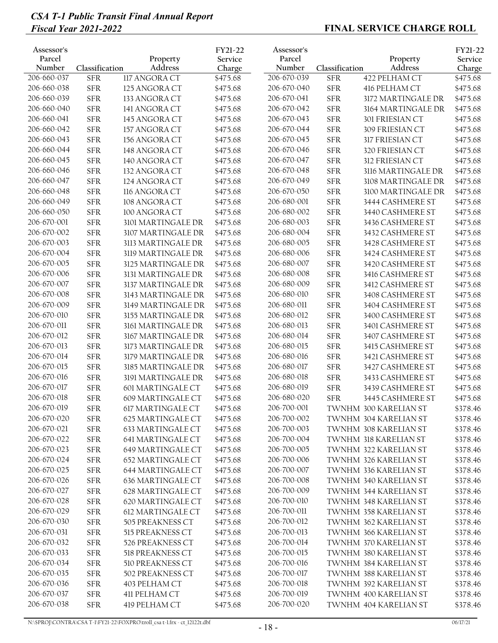| Assessor's<br>Parcel<br>Number | Classification | Property<br>Address | FY21-22<br>Service<br>Charge | Assessor's<br>Parcel<br>Number | Classification | Property<br>Address   | FY21-22<br>Service<br>Charge |
|--------------------------------|----------------|---------------------|------------------------------|--------------------------------|----------------|-----------------------|------------------------------|
| 206-660-037                    | <b>SFR</b>     | 117 ANGORA CT       | \$475.68                     | 206-670-039                    | <b>SFR</b>     | 422 PELHAM CT         | \$475.68                     |
| 206-660-038                    | <b>SFR</b>     | 125 ANGORA CT       | \$475.68                     | 206-670-040                    | <b>SFR</b>     | 416 PELHAM CT         | \$475.68                     |
| 206-660-039                    | <b>SFR</b>     | 133 ANGORA CT       | \$475.68                     | 206-670-041                    | <b>SFR</b>     | 3172 MARTINGALE DR    | \$475.68                     |
| 206-660-040                    | <b>SFR</b>     | 141 ANGORA CT       | \$475.68                     | 206-670-042                    | <b>SFR</b>     | 3164 MARTINGALE DR    | \$475.68                     |
| 206-660-041                    | <b>SFR</b>     | 145 ANGORA CT       | \$475.68                     | 206-670-043                    | <b>SFR</b>     | 301 FRIESIAN CT       | \$475.68                     |
| 206-660-042                    | <b>SFR</b>     | 157 ANGORA CT       | \$475.68                     | 206-670-044                    | <b>SFR</b>     | 309 FRIESIAN CT       | \$475.68                     |
| 206-660-043                    | <b>SFR</b>     | 156 ANGORA CT       | \$475.68                     | 206-670-045                    | <b>SFR</b>     | 317 FRIESIAN CT       | \$475.68                     |
| 206-660-044                    | <b>SFR</b>     | 148 ANGORA CT       | \$475.68                     | 206-670-046                    | <b>SFR</b>     | 320 FRIESIAN CT       | \$475.68                     |
| 206-660-045                    | <b>SFR</b>     | 140 ANGORA CT       | \$475.68                     | 206-670-047                    | <b>SFR</b>     | 312 FRIESIAN CT       | \$475.68                     |
| 206-660-046                    | <b>SFR</b>     | 132 ANGORA CT       | \$475.68                     | 206-670-048                    | <b>SFR</b>     | 3116 MARTINGALE DR    | \$475.68                     |
| 206-660-047                    | <b>SFR</b>     | 124 ANGORA CT       | \$475.68                     | 206-670-049                    | <b>SFR</b>     | 3108 MARTINGALE DR    | \$475.68                     |
| 206-660-048                    | <b>SFR</b>     | 116 ANGORA CT       | \$475.68                     | 206-670-050                    | <b>SFR</b>     | 3100 MARTINGALE DR    | \$475.68                     |
| 206-660-049                    | <b>SFR</b>     | 108 ANGORA CT       | \$475.68                     | 206-680-001                    | <b>SFR</b>     | 3444 CASHMERE ST      | \$475.68                     |
| 206-660-050                    | <b>SFR</b>     | 100 ANGORA CT       | \$475.68                     | 206-680-002                    | <b>SFR</b>     | 3440 CASHMERE ST      | \$475.68                     |
| 206-670-001                    | <b>SFR</b>     | 3101 MARTINGALE DR  | \$475.68                     | 206-680-003                    | <b>SFR</b>     | 3436 CASHMERE ST      | \$475.68                     |
| 206-670-002                    | <b>SFR</b>     | 3107 MARTINGALE DR  | \$475.68                     | 206-680-004                    | <b>SFR</b>     | 3432 CASHMERE ST      | \$475.68                     |
| 206-670-003                    | <b>SFR</b>     | 3113 MARTINGALE DR  | \$475.68                     | 206-680-005                    | <b>SFR</b>     | 3428 CASHMERE ST      | \$475.68                     |
| 206-670-004                    | <b>SFR</b>     | 3119 MARTINGALE DR  | \$475.68                     | 206-680-006                    | <b>SFR</b>     | 3424 CASHMERE ST      | \$475.68                     |
| 206-670-005                    | <b>SFR</b>     | 3125 MARTINGALE DR  | \$475.68                     | 206-680-007                    | <b>SFR</b>     | 3420 CASHMERE ST      | \$475.68                     |
| 206-670-006                    | <b>SFR</b>     | 3131 MARTINGALE DR  | \$475.68                     | 206-680-008                    | <b>SFR</b>     | 3416 CASHMERE ST      | \$475.68                     |
| 206-670-007                    | <b>SFR</b>     | 3137 MARTINGALE DR  | \$475.68                     | 206-680-009                    | <b>SFR</b>     | 3412 CASHMERE ST      | \$475.68                     |
| 206-670-008                    | <b>SFR</b>     | 3143 MARTINGALE DR  | \$475.68                     | 206-680-010                    | <b>SFR</b>     | 3408 CASHMERE ST      | \$475.68                     |
| 206-670-009                    | <b>SFR</b>     | 3149 MARTINGALE DR  | \$475.68                     | 206-680-011                    | <b>SFR</b>     | 3404 CASHMERE ST      | \$475.68                     |
| 206-670-010                    | <b>SFR</b>     | 3155 MARTINGALE DR  | \$475.68                     | 206-680-012                    | <b>SFR</b>     | 3400 CASHMERE ST      | \$475.68                     |
| 206-670-011                    | <b>SFR</b>     | 3161 MARTINGALE DR  | \$475.68                     | 206-680-013                    | <b>SFR</b>     | 3401 CASHMERE ST      | \$475.68                     |
| 206-670-012                    | <b>SFR</b>     | 3167 MARTINGALE DR  | \$475.68                     | 206-680-014                    | <b>SFR</b>     | 3407 CASHMERE ST      | \$475.68                     |
| 206-670-013                    | <b>SFR</b>     | 3173 MARTINGALE DR  | \$475.68                     | 206-680-015                    | <b>SFR</b>     | 3415 CASHMERE ST      | \$475.68                     |
| 206-670-014                    | <b>SFR</b>     | 3179 MARTINGALE DR  | \$475.68                     | 206-680-016                    | <b>SFR</b>     | 3421 CASHMERE ST      | \$475.68                     |
| 206-670-015                    | <b>SFR</b>     | 3185 MARTINGALE DR  | \$475.68                     | 206-680-017                    | <b>SFR</b>     | 3427 CASHMERE ST      | \$475.68                     |
| 206-670-016                    | <b>SFR</b>     | 3191 MARTINGALE DR  | \$475.68                     | 206-680-018                    | <b>SFR</b>     | 3433 CASHMERE ST      | \$475.68                     |
| 206-670-017                    | <b>SFR</b>     | 601 MARTINGALE CT   | \$475.68                     | 206-680-019                    | <b>SFR</b>     | 3439 CASHMERE ST      | \$475.68                     |
| 206-670-018                    | <b>SFR</b>     | 609 MARTINGALE CT   | \$475.68                     | 206-680-020                    | <b>SFR</b>     | 3445 CASHMERE ST      | \$475.68                     |
| 206-670-019                    | <b>SFR</b>     | 617 MARTINGALE CT   | \$475.68                     | 206-700-001                    |                | TWNHM 300 KARELIAN ST | \$378.46                     |
| 206-670-020                    | <b>SFR</b>     | 625 MARTINGALE CT   | \$475.68                     | 206-700-002                    |                | TWNHM 304 KARELIAN ST | \$378.46                     |
| 206-670-021                    | ${\rm SFR}$    | 633 MARTINGALE CT   | \$475.68                     | 206-700-003                    |                | TWNHM 308 KARELIAN ST | \$378.46                     |
| 206-670-022                    | ${\rm SFR}$    | 641 MARTINGALE CT   | \$475.68                     | 206-700-004                    |                | TWNHM 318 KARELIAN ST | \$378.46                     |
| 206-670-023                    | ${\rm SFR}$    | 649 MARTINGALE CT   | \$475.68                     | 206-700-005                    |                | TWNHM 322 KARELIAN ST | \$378.46                     |
| 206-670-024                    | ${\rm SFR}$    | 652 MARTINGALE CT   | \$475.68                     | 206-700-006                    |                | TWNHM 326 KARELIAN ST | \$378.46                     |
| 206-670-025                    | <b>SFR</b>     | 644 MARTINGALE CT   | \$475.68                     | 206-700-007                    |                | TWNHM 336 KARELIAN ST | \$378.46                     |
| 206-670-026                    | ${\rm SFR}$    | 636 MARTINGALE CT   | \$475.68                     | 206-700-008                    |                | TWNHM 340 KARELIAN ST | \$378.46                     |
| 206-670-027                    | ${\rm SFR}$    | 628 MARTINGALE CT   | \$475.68                     | 206-700-009                    |                | TWNHM 344 KARELIAN ST | \$378.46                     |
| 206-670-028                    | ${\rm SFR}$    | 620 MARTINGALE CT   | \$475.68                     | 206-700-010                    |                | TWNHM 348 KARELIAN ST | \$378.46                     |
| 206-670-029                    | ${\rm SFR}$    | 612 MARTINGALE CT   | \$475.68                     | 206-700-011                    |                | TWNHM 358 KARELIAN ST | \$378.46                     |
| 206-670-030                    | ${\rm SFR}$    | 505 PREAKNESS CT    | \$475.68                     | 206-700-012                    |                | TWNHM 362 KARELIAN ST | \$378.46                     |
| 206-670-031                    | ${\rm SFR}$    | 515 PREAKNESS CT    | \$475.68                     | 206-700-013                    |                | TWNHM 366 KARELIAN ST | \$378.46                     |
| 206-670-032                    | ${\rm SFR}$    | 526 PREAKNESS CT    | \$475.68                     | 206-700-014                    |                | TWNHM 370 KARELIAN ST | \$378.46                     |
| 206-670-033                    | <b>SFR</b>     | 518 PREAKNESS CT    | \$475.68                     | 206-700-015                    |                | TWNHM 380 KARELIAN ST | \$378.46                     |
| 206-670-034                    | ${\rm SFR}$    | 510 PREAKNESS CT    | \$475.68                     | 206-700-016                    |                | TWNHM 384 KARELIAN ST | \$378.46                     |
| 206-670-035                    | <b>SFR</b>     | 502 PREAKNESS CT    | \$475.68                     | 206-700-017                    |                | TWNHM 388 KARELIAN ST | \$378.46                     |
| 206-670-036                    | ${\rm SFR}$    | 403 PELHAM CT       | \$475.68                     | 206-700-018                    |                | TWNHM 392 KARELIAN ST | \$378.46                     |
| 206-670-037                    | ${\rm SFR}$    | 411 PELHAM CT       | \$475.68                     | 206-700-019                    |                | TWNHM 400 KARELIAN ST | \$378.46                     |
| 206-670-038                    | ${\rm SFR}$    | 419 PELHAM CT       | \$475.68                     | 206-700-020                    |                | TWNHM 404 KARELIAN ST | \$378.46                     |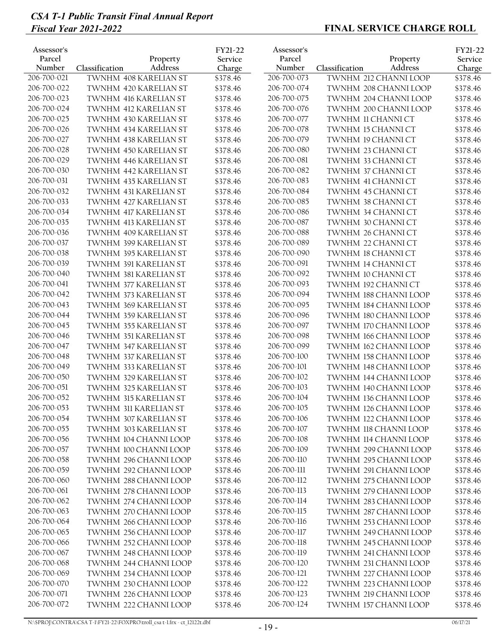| Charge<br>206-700-021<br>206-700-073<br>TWNHM 408 KARELIAN ST<br>TWNHM 212 CHANNI LOOP<br>\$378.46<br>206-700-022<br>206-700-074<br>TWNHM 420 KARELIAN ST<br>\$378.46<br>TWNHM 208 CHANNI LOOP<br>206-700-023<br>206-700-075<br>TWNHM 416 KARELIAN ST<br>\$378.46<br>TWNHM 204 CHANNI LOOP<br>206-700-024<br>206-700-076<br>TWNHM 412 KARELIAN ST<br>\$378.46<br>TWNHM 200 CHANNI LOOP<br>206-700-025<br>206-700-077<br>TWNHM 430 KARELIAN ST<br>\$378.46<br>TWNHM 11 CHANNI CT<br>206-700-026<br>206-700-078<br>TWNHM 434 KARELIAN ST<br>\$378.46<br><b>TWNHM 15 CHANNI CT</b><br>206-700-027<br>206-700-079<br><b>TWNHM 438 KARELIAN ST</b><br>\$378.46<br>TWNHM 19 CHANNI CT<br>206-700-028<br>206-700-080<br>TWNHM 450 KARELIAN ST<br>\$378.46<br>TWNHM 23 CHANNI CT<br>206-700-081<br>206-700-029<br>TWNHM 446 KARELIAN ST<br>\$378.46<br>TWNHM 33 CHANNI CT<br>206-700-030<br>206-700-082<br>TWNHM 442 KARELIAN ST<br>\$378.46<br>TWNHM 37 CHANNI CT<br>206-700-031<br><b>TWNHM 435 KARELIAN ST</b><br>\$378.46<br>206-700-083<br>TWNHM 41 CHANNI CT<br>206-700-032<br>206-700-084<br>TWNHM 431 KARELIAN ST<br>\$378.46<br><b>TWNHM 45 CHANNI CT</b><br>206-700-033<br>206-700-085<br>TWNHM 427 KARELIAN ST<br>\$378.46<br>TWNHM 38 CHANNI CT<br>206-700-034<br>206-700-086<br>TWNHM 417 KARELIAN ST<br>\$378.46<br>TWNHM 34 CHANNI CT<br>206-700-035<br>206-700-087<br><b>TWNHM 413 KARELIAN ST</b><br>\$378.46<br>TWNHM 30 CHANNI CT<br>206-700-036<br>206-700-088<br>TWNHM 409 KARELIAN ST<br>\$378.46<br>TWNHM 26 CHANNI CT<br>206-700-037<br>206-700-089<br>TWNHM 399 KARELIAN ST<br>\$378.46<br>TWNHM 22 CHANNI CT<br>206-700-038<br>206-700-090<br>TWNHM 395 KARELIAN ST<br>\$378.46<br>TWNHM 18 CHANNI CT<br>206-700-039<br>206-700-091<br>TWNHM 391 KARELIAN ST<br>\$378.46<br>TWNHM 14 CHANNI CT<br>206-700-040<br>206-700-092<br>TWNHM 381 KARELIAN ST<br>\$378.46<br>TWNHM 10 CHANNI CT<br>206-700-041<br>206-700-093<br>TWNHM 377 KARELIAN ST<br>\$378.46<br>TWNHM 192 CHANNI CT | \$378.46<br>\$378.46<br>\$378.46<br>\$378.46<br>\$378.46<br>\$378.46<br>\$378.46<br>\$378.46<br>\$378.46<br>\$378.46<br>\$378.46<br>\$378.46<br>\$378.46<br>\$378.46 |
|-----------------------------------------------------------------------------------------------------------------------------------------------------------------------------------------------------------------------------------------------------------------------------------------------------------------------------------------------------------------------------------------------------------------------------------------------------------------------------------------------------------------------------------------------------------------------------------------------------------------------------------------------------------------------------------------------------------------------------------------------------------------------------------------------------------------------------------------------------------------------------------------------------------------------------------------------------------------------------------------------------------------------------------------------------------------------------------------------------------------------------------------------------------------------------------------------------------------------------------------------------------------------------------------------------------------------------------------------------------------------------------------------------------------------------------------------------------------------------------------------------------------------------------------------------------------------------------------------------------------------------------------------------------------------------------------------------------------------------------------------------------------------------------------------------------------------------------------------------------------------------------------------------------------------------------------------------------------------------------------------------|----------------------------------------------------------------------------------------------------------------------------------------------------------------------|
|                                                                                                                                                                                                                                                                                                                                                                                                                                                                                                                                                                                                                                                                                                                                                                                                                                                                                                                                                                                                                                                                                                                                                                                                                                                                                                                                                                                                                                                                                                                                                                                                                                                                                                                                                                                                                                                                                                                                                                                                     |                                                                                                                                                                      |
|                                                                                                                                                                                                                                                                                                                                                                                                                                                                                                                                                                                                                                                                                                                                                                                                                                                                                                                                                                                                                                                                                                                                                                                                                                                                                                                                                                                                                                                                                                                                                                                                                                                                                                                                                                                                                                                                                                                                                                                                     |                                                                                                                                                                      |
|                                                                                                                                                                                                                                                                                                                                                                                                                                                                                                                                                                                                                                                                                                                                                                                                                                                                                                                                                                                                                                                                                                                                                                                                                                                                                                                                                                                                                                                                                                                                                                                                                                                                                                                                                                                                                                                                                                                                                                                                     |                                                                                                                                                                      |
|                                                                                                                                                                                                                                                                                                                                                                                                                                                                                                                                                                                                                                                                                                                                                                                                                                                                                                                                                                                                                                                                                                                                                                                                                                                                                                                                                                                                                                                                                                                                                                                                                                                                                                                                                                                                                                                                                                                                                                                                     |                                                                                                                                                                      |
|                                                                                                                                                                                                                                                                                                                                                                                                                                                                                                                                                                                                                                                                                                                                                                                                                                                                                                                                                                                                                                                                                                                                                                                                                                                                                                                                                                                                                                                                                                                                                                                                                                                                                                                                                                                                                                                                                                                                                                                                     |                                                                                                                                                                      |
|                                                                                                                                                                                                                                                                                                                                                                                                                                                                                                                                                                                                                                                                                                                                                                                                                                                                                                                                                                                                                                                                                                                                                                                                                                                                                                                                                                                                                                                                                                                                                                                                                                                                                                                                                                                                                                                                                                                                                                                                     |                                                                                                                                                                      |
|                                                                                                                                                                                                                                                                                                                                                                                                                                                                                                                                                                                                                                                                                                                                                                                                                                                                                                                                                                                                                                                                                                                                                                                                                                                                                                                                                                                                                                                                                                                                                                                                                                                                                                                                                                                                                                                                                                                                                                                                     |                                                                                                                                                                      |
|                                                                                                                                                                                                                                                                                                                                                                                                                                                                                                                                                                                                                                                                                                                                                                                                                                                                                                                                                                                                                                                                                                                                                                                                                                                                                                                                                                                                                                                                                                                                                                                                                                                                                                                                                                                                                                                                                                                                                                                                     |                                                                                                                                                                      |
|                                                                                                                                                                                                                                                                                                                                                                                                                                                                                                                                                                                                                                                                                                                                                                                                                                                                                                                                                                                                                                                                                                                                                                                                                                                                                                                                                                                                                                                                                                                                                                                                                                                                                                                                                                                                                                                                                                                                                                                                     |                                                                                                                                                                      |
|                                                                                                                                                                                                                                                                                                                                                                                                                                                                                                                                                                                                                                                                                                                                                                                                                                                                                                                                                                                                                                                                                                                                                                                                                                                                                                                                                                                                                                                                                                                                                                                                                                                                                                                                                                                                                                                                                                                                                                                                     |                                                                                                                                                                      |
|                                                                                                                                                                                                                                                                                                                                                                                                                                                                                                                                                                                                                                                                                                                                                                                                                                                                                                                                                                                                                                                                                                                                                                                                                                                                                                                                                                                                                                                                                                                                                                                                                                                                                                                                                                                                                                                                                                                                                                                                     |                                                                                                                                                                      |
|                                                                                                                                                                                                                                                                                                                                                                                                                                                                                                                                                                                                                                                                                                                                                                                                                                                                                                                                                                                                                                                                                                                                                                                                                                                                                                                                                                                                                                                                                                                                                                                                                                                                                                                                                                                                                                                                                                                                                                                                     |                                                                                                                                                                      |
|                                                                                                                                                                                                                                                                                                                                                                                                                                                                                                                                                                                                                                                                                                                                                                                                                                                                                                                                                                                                                                                                                                                                                                                                                                                                                                                                                                                                                                                                                                                                                                                                                                                                                                                                                                                                                                                                                                                                                                                                     |                                                                                                                                                                      |
|                                                                                                                                                                                                                                                                                                                                                                                                                                                                                                                                                                                                                                                                                                                                                                                                                                                                                                                                                                                                                                                                                                                                                                                                                                                                                                                                                                                                                                                                                                                                                                                                                                                                                                                                                                                                                                                                                                                                                                                                     |                                                                                                                                                                      |
|                                                                                                                                                                                                                                                                                                                                                                                                                                                                                                                                                                                                                                                                                                                                                                                                                                                                                                                                                                                                                                                                                                                                                                                                                                                                                                                                                                                                                                                                                                                                                                                                                                                                                                                                                                                                                                                                                                                                                                                                     | \$378.46                                                                                                                                                             |
|                                                                                                                                                                                                                                                                                                                                                                                                                                                                                                                                                                                                                                                                                                                                                                                                                                                                                                                                                                                                                                                                                                                                                                                                                                                                                                                                                                                                                                                                                                                                                                                                                                                                                                                                                                                                                                                                                                                                                                                                     | \$378.46                                                                                                                                                             |
|                                                                                                                                                                                                                                                                                                                                                                                                                                                                                                                                                                                                                                                                                                                                                                                                                                                                                                                                                                                                                                                                                                                                                                                                                                                                                                                                                                                                                                                                                                                                                                                                                                                                                                                                                                                                                                                                                                                                                                                                     | \$378.46                                                                                                                                                             |
|                                                                                                                                                                                                                                                                                                                                                                                                                                                                                                                                                                                                                                                                                                                                                                                                                                                                                                                                                                                                                                                                                                                                                                                                                                                                                                                                                                                                                                                                                                                                                                                                                                                                                                                                                                                                                                                                                                                                                                                                     | \$378.46                                                                                                                                                             |
|                                                                                                                                                                                                                                                                                                                                                                                                                                                                                                                                                                                                                                                                                                                                                                                                                                                                                                                                                                                                                                                                                                                                                                                                                                                                                                                                                                                                                                                                                                                                                                                                                                                                                                                                                                                                                                                                                                                                                                                                     | \$378.46                                                                                                                                                             |
|                                                                                                                                                                                                                                                                                                                                                                                                                                                                                                                                                                                                                                                                                                                                                                                                                                                                                                                                                                                                                                                                                                                                                                                                                                                                                                                                                                                                                                                                                                                                                                                                                                                                                                                                                                                                                                                                                                                                                                                                     | \$378.46                                                                                                                                                             |
|                                                                                                                                                                                                                                                                                                                                                                                                                                                                                                                                                                                                                                                                                                                                                                                                                                                                                                                                                                                                                                                                                                                                                                                                                                                                                                                                                                                                                                                                                                                                                                                                                                                                                                                                                                                                                                                                                                                                                                                                     | \$378.46                                                                                                                                                             |
| 206-700-042<br>206-700-094<br>\$378.46<br>TWNHM 188 CHANNI LOOP<br>TWNHM 373 KARELIAN ST                                                                                                                                                                                                                                                                                                                                                                                                                                                                                                                                                                                                                                                                                                                                                                                                                                                                                                                                                                                                                                                                                                                                                                                                                                                                                                                                                                                                                                                                                                                                                                                                                                                                                                                                                                                                                                                                                                            | \$378.46                                                                                                                                                             |
| 206-700-043<br>206-700-095<br>TWNHM 369 KARELIAN ST<br>\$378.46<br>TWNHM 184 CHANNI LOOP                                                                                                                                                                                                                                                                                                                                                                                                                                                                                                                                                                                                                                                                                                                                                                                                                                                                                                                                                                                                                                                                                                                                                                                                                                                                                                                                                                                                                                                                                                                                                                                                                                                                                                                                                                                                                                                                                                            | \$378.46                                                                                                                                                             |
| 206-700-044<br><b>TWNHM 359 KARELIAN ST</b><br>\$378.46<br>206-700-096<br>TWNHM 180 CHANNI LOOP                                                                                                                                                                                                                                                                                                                                                                                                                                                                                                                                                                                                                                                                                                                                                                                                                                                                                                                                                                                                                                                                                                                                                                                                                                                                                                                                                                                                                                                                                                                                                                                                                                                                                                                                                                                                                                                                                                     | \$378.46                                                                                                                                                             |
| 206-700-045<br>206-700-097<br><b>TWNHM 355 KARELIAN ST</b><br>TWNHM 170 CHANNI LOOP<br>\$378.46                                                                                                                                                                                                                                                                                                                                                                                                                                                                                                                                                                                                                                                                                                                                                                                                                                                                                                                                                                                                                                                                                                                                                                                                                                                                                                                                                                                                                                                                                                                                                                                                                                                                                                                                                                                                                                                                                                     | \$378.46                                                                                                                                                             |
| 206-700-046<br>206-700-098<br><b>TWNHM 351 KARELIAN ST</b><br>TWNHM 166 CHANNI LOOP<br>\$378.46                                                                                                                                                                                                                                                                                                                                                                                                                                                                                                                                                                                                                                                                                                                                                                                                                                                                                                                                                                                                                                                                                                                                                                                                                                                                                                                                                                                                                                                                                                                                                                                                                                                                                                                                                                                                                                                                                                     | \$378.46                                                                                                                                                             |
| 206-700-047<br>206-700-099<br>TWNHM 347 KARELIAN ST<br>\$378.46<br>TWNHM 162 CHANNI LOOP                                                                                                                                                                                                                                                                                                                                                                                                                                                                                                                                                                                                                                                                                                                                                                                                                                                                                                                                                                                                                                                                                                                                                                                                                                                                                                                                                                                                                                                                                                                                                                                                                                                                                                                                                                                                                                                                                                            | \$378.46                                                                                                                                                             |
| 206-700-048<br>206-700-100<br>TWNHM 337 KARELIAN ST<br>\$378.46<br>TWNHM 158 CHANNI LOOP                                                                                                                                                                                                                                                                                                                                                                                                                                                                                                                                                                                                                                                                                                                                                                                                                                                                                                                                                                                                                                                                                                                                                                                                                                                                                                                                                                                                                                                                                                                                                                                                                                                                                                                                                                                                                                                                                                            | \$378.46                                                                                                                                                             |
| 206-700-049<br>206-700-101<br>TWNHM 333 KARELIAN ST<br>\$378.46<br>TWNHM 148 CHANNI LOOP                                                                                                                                                                                                                                                                                                                                                                                                                                                                                                                                                                                                                                                                                                                                                                                                                                                                                                                                                                                                                                                                                                                                                                                                                                                                                                                                                                                                                                                                                                                                                                                                                                                                                                                                                                                                                                                                                                            | \$378.46                                                                                                                                                             |
| 206-700-102<br>206-700-050<br>TWNHM 329 KARELIAN ST<br>\$378.46<br>TWNHM 144 CHANNI LOOP                                                                                                                                                                                                                                                                                                                                                                                                                                                                                                                                                                                                                                                                                                                                                                                                                                                                                                                                                                                                                                                                                                                                                                                                                                                                                                                                                                                                                                                                                                                                                                                                                                                                                                                                                                                                                                                                                                            | \$378.46                                                                                                                                                             |
| 206-700-051<br>206-700-103<br>TWNHM 325 KARELIAN ST<br>\$378.46<br>TWNHM 140 CHANNI LOOP                                                                                                                                                                                                                                                                                                                                                                                                                                                                                                                                                                                                                                                                                                                                                                                                                                                                                                                                                                                                                                                                                                                                                                                                                                                                                                                                                                                                                                                                                                                                                                                                                                                                                                                                                                                                                                                                                                            | \$378.46                                                                                                                                                             |
| 206-700-052<br>206-700-104<br><b>TWNHM 315 KARELIAN ST</b><br>\$378.46<br>TWNHM 136 CHANNI LOOP                                                                                                                                                                                                                                                                                                                                                                                                                                                                                                                                                                                                                                                                                                                                                                                                                                                                                                                                                                                                                                                                                                                                                                                                                                                                                                                                                                                                                                                                                                                                                                                                                                                                                                                                                                                                                                                                                                     | \$378.46                                                                                                                                                             |
| 206-700-053<br>206-700-105<br>\$378.46<br>TWNHM 311 KARELIAN ST<br>TWNHM 126 CHANNI LOOP                                                                                                                                                                                                                                                                                                                                                                                                                                                                                                                                                                                                                                                                                                                                                                                                                                                                                                                                                                                                                                                                                                                                                                                                                                                                                                                                                                                                                                                                                                                                                                                                                                                                                                                                                                                                                                                                                                            | \$378.46                                                                                                                                                             |
| 206-700-054<br>206-700-106<br>TWNHM 307 KARELIAN ST<br>TWNHM 122 CHANNI LOOP<br>\$378.46                                                                                                                                                                                                                                                                                                                                                                                                                                                                                                                                                                                                                                                                                                                                                                                                                                                                                                                                                                                                                                                                                                                                                                                                                                                                                                                                                                                                                                                                                                                                                                                                                                                                                                                                                                                                                                                                                                            | \$378.46                                                                                                                                                             |
| 206-700-055<br>206-700-107<br>TWNHM 303 KARELIAN ST<br>\$378.46<br>TWNHM 118 CHANNI LOOP                                                                                                                                                                                                                                                                                                                                                                                                                                                                                                                                                                                                                                                                                                                                                                                                                                                                                                                                                                                                                                                                                                                                                                                                                                                                                                                                                                                                                                                                                                                                                                                                                                                                                                                                                                                                                                                                                                            | \$378.46                                                                                                                                                             |
| 206-700-056<br>TWNHM 104 CHANNI LOOP<br>\$378.46<br>206-700-108<br>TWNHM 114 CHANNI LOOP                                                                                                                                                                                                                                                                                                                                                                                                                                                                                                                                                                                                                                                                                                                                                                                                                                                                                                                                                                                                                                                                                                                                                                                                                                                                                                                                                                                                                                                                                                                                                                                                                                                                                                                                                                                                                                                                                                            | \$378.46                                                                                                                                                             |
| 206-700-057<br>206-700-109<br>TWNHM 100 CHANNI LOOP<br>\$378.46<br>TWNHM 299 CHANNI LOOP                                                                                                                                                                                                                                                                                                                                                                                                                                                                                                                                                                                                                                                                                                                                                                                                                                                                                                                                                                                                                                                                                                                                                                                                                                                                                                                                                                                                                                                                                                                                                                                                                                                                                                                                                                                                                                                                                                            | \$378.46                                                                                                                                                             |
| 206-700-058<br>TWNHM 296 CHANNI LOOP<br>206-700-110<br>\$378.46<br>TWNHM 295 CHANNI LOOP                                                                                                                                                                                                                                                                                                                                                                                                                                                                                                                                                                                                                                                                                                                                                                                                                                                                                                                                                                                                                                                                                                                                                                                                                                                                                                                                                                                                                                                                                                                                                                                                                                                                                                                                                                                                                                                                                                            | \$378.46                                                                                                                                                             |
| 206-700-059<br>206-700-111<br>TWNHM 292 CHANNI LOOP<br>\$378.46<br>TWNHM 291 CHANNI LOOP                                                                                                                                                                                                                                                                                                                                                                                                                                                                                                                                                                                                                                                                                                                                                                                                                                                                                                                                                                                                                                                                                                                                                                                                                                                                                                                                                                                                                                                                                                                                                                                                                                                                                                                                                                                                                                                                                                            | \$378.46                                                                                                                                                             |
| 206-700-060<br>206-700-112<br>TWNHM 288 CHANNI LOOP<br>\$378.46<br>TWNHM 275 CHANNI LOOP                                                                                                                                                                                                                                                                                                                                                                                                                                                                                                                                                                                                                                                                                                                                                                                                                                                                                                                                                                                                                                                                                                                                                                                                                                                                                                                                                                                                                                                                                                                                                                                                                                                                                                                                                                                                                                                                                                            | \$378.46                                                                                                                                                             |
| 206-700-061<br>206-700-113<br>TWNHM 278 CHANNI LOOP<br>TWNHM 279 CHANNI LOOP<br>\$378.46                                                                                                                                                                                                                                                                                                                                                                                                                                                                                                                                                                                                                                                                                                                                                                                                                                                                                                                                                                                                                                                                                                                                                                                                                                                                                                                                                                                                                                                                                                                                                                                                                                                                                                                                                                                                                                                                                                            | \$378.46                                                                                                                                                             |
| 206-700-062<br>206-700-114<br>TWNHM 274 CHANNI LOOP<br>TWNHM 283 CHANNI LOOP<br>\$378.46                                                                                                                                                                                                                                                                                                                                                                                                                                                                                                                                                                                                                                                                                                                                                                                                                                                                                                                                                                                                                                                                                                                                                                                                                                                                                                                                                                                                                                                                                                                                                                                                                                                                                                                                                                                                                                                                                                            | \$378.46                                                                                                                                                             |
| 206-700-063<br>206-700-115<br>TWNHM 270 CHANNI LOOP<br>TWNHM 287 CHANNI LOOP<br>\$378.46                                                                                                                                                                                                                                                                                                                                                                                                                                                                                                                                                                                                                                                                                                                                                                                                                                                                                                                                                                                                                                                                                                                                                                                                                                                                                                                                                                                                                                                                                                                                                                                                                                                                                                                                                                                                                                                                                                            | \$378.46                                                                                                                                                             |
| 206-700-064<br>206-700-116<br>TWNHM 266 CHANNI LOOP<br>\$378.46<br>TWNHM 253 CHANNI LOOP                                                                                                                                                                                                                                                                                                                                                                                                                                                                                                                                                                                                                                                                                                                                                                                                                                                                                                                                                                                                                                                                                                                                                                                                                                                                                                                                                                                                                                                                                                                                                                                                                                                                                                                                                                                                                                                                                                            | \$378.46                                                                                                                                                             |
| 206-700-065<br>TWNHM 256 CHANNI LOOP<br>206-700-117<br>TWNHM 249 CHANNI LOOP<br>\$378.46                                                                                                                                                                                                                                                                                                                                                                                                                                                                                                                                                                                                                                                                                                                                                                                                                                                                                                                                                                                                                                                                                                                                                                                                                                                                                                                                                                                                                                                                                                                                                                                                                                                                                                                                                                                                                                                                                                            | \$378.46                                                                                                                                                             |
| 206-700-066<br>206-700-118<br>TWNHM 252 CHANNI LOOP<br>TWNHM 245 CHANNI LOOP<br>\$378.46                                                                                                                                                                                                                                                                                                                                                                                                                                                                                                                                                                                                                                                                                                                                                                                                                                                                                                                                                                                                                                                                                                                                                                                                                                                                                                                                                                                                                                                                                                                                                                                                                                                                                                                                                                                                                                                                                                            | \$378.46                                                                                                                                                             |
| 206-700-067<br>TWNHM 248 CHANNI LOOP<br>206-700-119<br>\$378.46<br>TWNHM 241 CHANNI LOOP                                                                                                                                                                                                                                                                                                                                                                                                                                                                                                                                                                                                                                                                                                                                                                                                                                                                                                                                                                                                                                                                                                                                                                                                                                                                                                                                                                                                                                                                                                                                                                                                                                                                                                                                                                                                                                                                                                            | \$378.46                                                                                                                                                             |
| 206-700-068<br>206-700-120<br>TWNHM 231 CHANNI LOOP<br>TWNHM 244 CHANNI LOOP<br>\$378.46                                                                                                                                                                                                                                                                                                                                                                                                                                                                                                                                                                                                                                                                                                                                                                                                                                                                                                                                                                                                                                                                                                                                                                                                                                                                                                                                                                                                                                                                                                                                                                                                                                                                                                                                                                                                                                                                                                            | \$378.46                                                                                                                                                             |
| 206-700-069<br>TWNHM 234 CHANNI LOOP<br>\$378.46<br>206-700-121<br>TWNHM 227 CHANNI LOOP                                                                                                                                                                                                                                                                                                                                                                                                                                                                                                                                                                                                                                                                                                                                                                                                                                                                                                                                                                                                                                                                                                                                                                                                                                                                                                                                                                                                                                                                                                                                                                                                                                                                                                                                                                                                                                                                                                            |                                                                                                                                                                      |
| 206-700-070<br>206-700-122<br>TWNHM 230 CHANNI LOOP<br>TWNHM 223 CHANNI LOOP<br>\$378.46                                                                                                                                                                                                                                                                                                                                                                                                                                                                                                                                                                                                                                                                                                                                                                                                                                                                                                                                                                                                                                                                                                                                                                                                                                                                                                                                                                                                                                                                                                                                                                                                                                                                                                                                                                                                                                                                                                            |                                                                                                                                                                      |
| 206-700-071<br>206-700-123<br>TWNHM 226 CHANNI LOOP<br>TWNHM 219 CHANNI LOOP<br>\$378.46                                                                                                                                                                                                                                                                                                                                                                                                                                                                                                                                                                                                                                                                                                                                                                                                                                                                                                                                                                                                                                                                                                                                                                                                                                                                                                                                                                                                                                                                                                                                                                                                                                                                                                                                                                                                                                                                                                            | \$378.46                                                                                                                                                             |
| 206-700-072<br>206-700-124<br>TWNHM 222 CHANNI LOOP<br>TWNHM 157 CHANNI LOOP<br>\$378.46<br>\$378.46                                                                                                                                                                                                                                                                                                                                                                                                                                                                                                                                                                                                                                                                                                                                                                                                                                                                                                                                                                                                                                                                                                                                                                                                                                                                                                                                                                                                                                                                                                                                                                                                                                                                                                                                                                                                                                                                                                | \$378.46<br>\$378.46                                                                                                                                                 |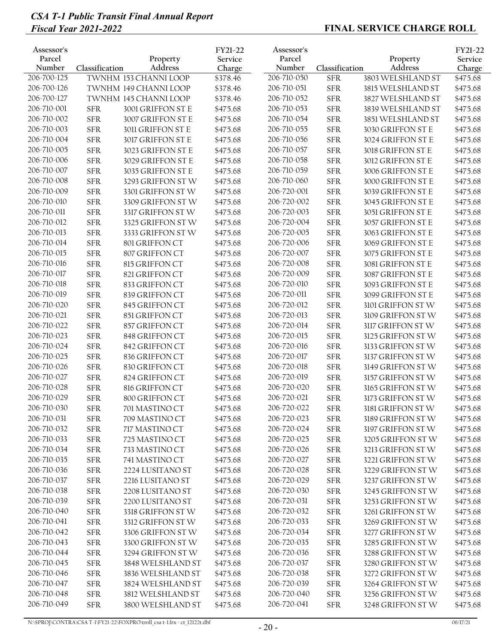| Address<br>Number<br>Address<br>Number<br>Classification<br>Classification<br>Charge                                                                                                        |                      |
|---------------------------------------------------------------------------------------------------------------------------------------------------------------------------------------------|----------------------|
| 206-700-125<br>206-710-050<br>TWNHM 153 CHANNI LOOP<br>3803 WELSHLAND ST<br>\$378.46<br><b>SFR</b>                                                                                          | Charge<br>\$475.68   |
| 206-700-126<br>206-710-051<br><b>SFR</b><br>TWNHM 149 CHANNI LOOP<br>\$378.46<br>3815 WELSHLAND ST                                                                                          | \$475.68             |
| 206-700-127<br>206-710-052<br><b>SFR</b><br>TWNHM 145 CHANNI LOOP<br>\$378.46<br>3827 WELSHLAND ST                                                                                          | \$475.68             |
| 206-710-001<br>206-710-053<br>3001 GRIFFON ST E<br><b>SFR</b><br><b>SFR</b><br>\$475.68<br>3839 WELSHLAND ST                                                                                | \$475.68             |
| 206-710-002<br>206-710-054<br><b>SFR</b><br>3007 GRIFFON ST E<br>\$475.68<br><b>SFR</b><br>3851 WELSHLAND ST                                                                                | \$475.68             |
| 206-710-003<br>206-710-055<br><b>SFR</b><br>\$475.68<br><b>SFR</b><br>3011 GRIFFON ST E<br>3030 GRIFFON ST E                                                                                | \$475.68             |
| 206-710-004<br>206-710-056<br>${\rm SFR}$<br>\$475.68<br><b>SFR</b><br>3017 GRIFFON ST E<br>3024 GRIFFON ST E                                                                               | \$475.68             |
| 206-710-005<br>206-710-057<br><b>SFR</b><br><b>SFR</b><br>3023 GRIFFON ST E<br>\$475.68<br>3018 GRIFFON ST E                                                                                | \$475.68             |
| 206-710-006<br>206-710-058<br><b>SFR</b><br>3029 GRIFFON ST E<br><b>SFR</b><br>3012 GRIFFON ST E<br>\$475.68                                                                                | \$475.68             |
| 206-710-007<br>206-710-059<br><b>SFR</b><br><b>SFR</b><br>3035 GRIFFON ST E<br>\$475.68<br>3006 GRIFFON ST E                                                                                | \$475.68             |
| 206-710-008<br><b>SFR</b><br>206-710-060<br><b>SFR</b><br>3293 GRIFFON STW<br>\$475.68<br>3000 GRIFFON ST E                                                                                 | \$475.68             |
| 206-710-009<br>206-720-001<br><b>SFR</b><br><b>SFR</b><br>3301 GRIFFON STW<br>\$475.68<br>3039 GRIFFON ST E                                                                                 | \$475.68             |
| 206-710-010<br><b>SFR</b><br>206-720-002<br><b>SFR</b><br>3045 GRIFFON ST E<br>3309 GRIFFON ST W<br>\$475.68                                                                                | \$475.68             |
| 206-710-011<br>206-720-003<br>${\rm SFR}$<br>\$475.68<br><b>SFR</b><br>3051 GRIFFON ST E<br>3317 GRIFFON STW                                                                                | \$475.68             |
| 206-710-012<br><b>SFR</b><br>206-720-004<br><b>SFR</b><br>3057 GRIFFON ST E<br>3325 GRIFFON ST W<br>\$475.68                                                                                | \$475.68             |
| 206-710-013<br>206-720-005<br><b>SFR</b><br><b>SFR</b><br>3333 GRIFFON STW<br>\$475.68<br>3063 GRIFFON ST E                                                                                 | \$475.68             |
| 206-710-014<br>206-720-006<br><b>SFR</b><br>801 GRIFFON CT<br><b>SFR</b><br>\$475.68<br>3069 GRIFFON ST E                                                                                   | \$475.68             |
| 206-710-015<br>206-720-007<br><b>SFR</b><br><b>SFR</b><br>807 GRIFFON CT<br>\$475.68<br>3075 GRIFFON ST E                                                                                   | \$475.68             |
| 206-710-016<br>206-720-008<br><b>SFR</b><br><b>SFR</b><br>3081 GRIFFON ST E<br>815 GRIFFON CT<br>\$475.68                                                                                   | \$475.68             |
| 206-710-017<br>206-720-009<br><b>SFR</b><br><b>SFR</b><br>821 GRIFFON CT<br>\$475.68<br>3087 GRIFFON ST E                                                                                   | \$475.68             |
| 206-710-018<br><b>SFR</b><br>\$475.68<br>206-720-010<br><b>SFR</b><br>833 GRIFFON CT<br>3093 GRIFFON ST E                                                                                   | \$475.68             |
| 206-710-019<br>206-720-011<br><b>SFR</b><br>\$475.68<br><b>SFR</b><br>839 GRIFFON CT<br>3099 GRIFFON ST E                                                                                   | \$475.68             |
| 206-710-020<br>206-720-012<br><b>SFR</b><br>\$475.68<br><b>SFR</b><br>845 GRIFFON CT<br>3101 GRIFFON STW                                                                                    | \$475.68             |
| 206-710-021<br>${\rm SFR}$<br>206-720-013<br><b>SFR</b><br>851 GRIFFON CT<br>\$475.68<br>3109 GRIFFON STW                                                                                   | \$475.68             |
| 206-710-022<br>${\rm SFR}$<br>206-720-014<br><b>SFR</b><br>857 GRIFFON CT<br>\$475.68<br>3117 GRIFFON ST W                                                                                  | \$475.68             |
| 206-710-023<br>206-720-015<br><b>SFR</b><br><b>SFR</b><br>848 GRIFFON CT<br>\$475.68<br>3125 GRIFFON STW                                                                                    | \$475.68             |
| 206-710-024<br><b>SFR</b><br>206-720-016<br><b>SFR</b><br>842 GRIFFON CT<br>\$475.68<br>3133 GRIFFON STW                                                                                    | \$475.68             |
| 206-710-025<br>206-720-017<br><b>SFR</b><br><b>SFR</b><br>836 GRIFFON CT<br>\$475.68<br>3137 GRIFFON STW                                                                                    | \$475.68             |
| 206-710-026<br>206-720-018<br><b>SFR</b><br><b>SFR</b><br>830 GRIFFON CT<br>\$475.68<br>3149 GRIFFON STW                                                                                    | \$475.68             |
| 206-710-027<br>206-720-019<br><b>SFR</b><br>824 GRIFFON CT<br><b>SFR</b><br>3157 GRIFFON STW<br>\$475.68                                                                                    | \$475.68             |
| 206-710-028<br>206-720-020<br><b>SFR</b><br><b>SFR</b><br>816 GRIFFON CT<br>\$475.68<br>3165 GRIFFON STW                                                                                    | \$475.68             |
| 206-710-029<br>206-720-021<br><b>SFR</b><br><b>SFR</b><br>800 GRIFFON CT<br>\$475.68<br>3173 GRIFFON STW                                                                                    | \$475.68             |
| 206-710-030<br>206-720-022<br><b>SFR</b><br>701 MASTINO CT<br><b>SFR</b><br>3181 GRIFFON STW<br>\$475.68                                                                                    | \$475.68             |
| 206-710-031<br>206-720-023<br><b>SFR</b><br>709 MASTINO CT<br>\$475.68<br><b>SFR</b><br>3189 GRIFFON STW                                                                                    | \$475.68             |
| 206-710-032<br>${\rm SFR}$<br>206-720-024<br><b>SFR</b><br>717 MASTINO CT<br>\$475.68<br>3197 GRIFFON STW                                                                                   | \$475.68             |
| 206-710-033<br>${\rm SFR}$<br>206-720-025<br><b>SFR</b><br>725 MASTINO CT<br>\$475.68<br>3205 GRIFFON STW                                                                                   | \$475.68             |
| 206-710-034<br><b>SFR</b><br>206-720-026<br><b>SFR</b><br>733 MASTINO CT<br>\$475.68<br>3213 GRIFFON STW                                                                                    | \$475.68             |
| 206-710-035<br><b>SFR</b><br>741 MASTINO CT<br>206-720-027<br><b>SFR</b><br>3221 GRIFFON STW<br>\$475.68                                                                                    | \$475.68             |
| 206-710-036<br>206-720-028<br>${\rm SFR}$<br>2224 LUSITANO ST<br>\$475.68<br><b>SFR</b><br>3229 GRIFFON STW<br>206-710-037<br>206-720-029                                                   | \$475.68             |
| ${\rm SFR}$<br>2216 LUSITANO ST<br>\$475.68<br><b>SFR</b><br>3237 GRIFFON STW<br>206-710-038<br>206-720-030                                                                                 | \$475.68             |
| ${\rm SFR}$<br><b>SFR</b><br>2208 LUSITANO ST<br>\$475.68<br>3245 GRIFFON ST W<br>206-710-039<br>206-720-031                                                                                | \$475.68             |
| ${\rm SFR}$<br><b>SFR</b><br>2200 LUSITANO ST<br>\$475.68<br>3253 GRIFFON ST W<br>206-710-040<br>206-720-032                                                                                | \$475.68             |
| ${\rm SFR}$<br><b>SFR</b><br>3318 GRIFFON STW<br>\$475.68<br>3261 GRIFFON STW<br>206-710-041<br>${\rm SFR}$<br>206-720-033<br><b>SFR</b>                                                    | \$475.68             |
| 3312 GRIFFON STW<br>\$475.68<br>3269 GRIFFON STW<br>206-710-042<br>206-720-034                                                                                                              | \$475.68             |
| <b>SFR</b><br><b>SFR</b><br>3306 GRIFFON STW<br>\$475.68<br>3277 GRIFFON STW<br>206-710-043<br><b>SFR</b><br>206-720-035<br><b>SFR</b><br>3300 GRIFFON ST W<br>\$475.68<br>3285 GRIFFON STW | \$475.68<br>\$475.68 |
| 206-710-044<br>206-720-036<br>${\rm SFR}$<br>3294 GRIFFON STW<br>\$475.68<br><b>SFR</b><br>3288 GRIFFON STW                                                                                 | \$475.68             |
| 206-710-045<br>206-720-037<br><b>SFR</b><br>3848 WELSHLAND ST<br>\$475.68<br><b>SFR</b><br>3280 GRIFFON ST W                                                                                | \$475.68             |
| 206-710-046<br>${\rm SFR}$<br>206-720-038<br><b>SFR</b><br>3836 WELSHLAND ST<br>\$475.68<br>3272 GRIFFON STW                                                                                | \$475.68             |
| 206-710-047<br><b>SFR</b><br>206-720-039<br><b>SFR</b><br>3824 WELSHLAND ST<br>\$475.68<br>3264 GRIFFON ST W                                                                                | \$475.68             |
| 206-710-048<br>${\rm SFR}$<br>3812 WELSHLAND ST<br>206-720-040<br><b>SFR</b><br>\$475.68<br>3256 GRIFFON STW                                                                                | \$475.68             |
| 206-710-049<br>206-720-041<br>${\rm SFR}$<br>3800 WELSHLAND ST<br><b>SFR</b><br>\$475.68<br>3248 GRIFFON STW                                                                                | \$475.68             |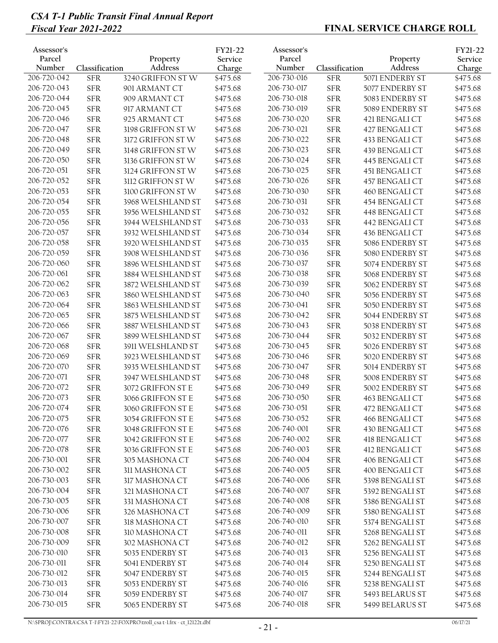| Assessor's<br>Parcel<br>Number | Classification | Property<br>Address | FY21-22<br>Service<br>Charge | Assessor's<br>Parcel<br>Number | Classification | Property<br>Address | FY21-22<br>Service<br>Charge |
|--------------------------------|----------------|---------------------|------------------------------|--------------------------------|----------------|---------------------|------------------------------|
| 206-720-042                    | <b>SFR</b>     | 3240 GRIFFON STW    | \$475.68                     | 206-730-016                    | <b>SFR</b>     | 5071 ENDERBY ST     | \$475.68                     |
| 206-720-043                    | <b>SFR</b>     | 901 ARMANT CT       | \$475.68                     | 206-730-017                    | <b>SFR</b>     | 5077 ENDERBY ST     | \$475.68                     |
| 206-720-044                    | <b>SFR</b>     | 909 ARMANT CT       | \$475.68                     | 206-730-018                    | <b>SFR</b>     | 5083 ENDERBY ST     | \$475.68                     |
| 206-720-045                    | <b>SFR</b>     | 917 ARMANT CT       | \$475.68                     | 206-730-019                    | <b>SFR</b>     | 5089 ENDERBY ST     | \$475.68                     |
| 206-720-046                    | <b>SFR</b>     | 925 ARMANT CT       | \$475.68                     | 206-730-020                    | <b>SFR</b>     | 421 BENGALI CT      | \$475.68                     |
| 206-720-047                    | ${\rm SFR}$    | 3198 GRIFFON STW    | \$475.68                     | 206-730-021                    | <b>SFR</b>     | 427 BENGALI CT      | \$475.68                     |
| 206-720-048                    | <b>SFR</b>     | 3172 GRIFFON STW    | \$475.68                     | 206-730-022                    | <b>SFR</b>     | 433 BENGALI CT      | \$475.68                     |
| 206-720-049                    | <b>SFR</b>     | 3148 GRIFFON STW    | \$475.68                     | 206-730-023                    | <b>SFR</b>     | 439 BENGALI CT      | \$475.68                     |
| 206-720-050                    | <b>SFR</b>     | 3136 GRIFFON STW    | \$475.68                     | 206-730-024                    | <b>SFR</b>     | 445 BENGALI CT      | \$475.68                     |
| 206-720-051                    | <b>SFR</b>     | 3124 GRIFFON STW    | \$475.68                     | 206-730-025                    | <b>SFR</b>     | 451 BENGALI CT      | \$475.68                     |
| 206-720-052                    | <b>SFR</b>     | 3112 GRIFFON STW    | \$475.68                     | 206-730-026                    | <b>SFR</b>     | 457 BENGALI CT      | \$475.68                     |
| 206-720-053                    | <b>SFR</b>     | 3100 GRIFFON STW    | \$475.68                     | 206-730-030                    | <b>SFR</b>     | 460 BENGALI CT      | \$475.68                     |
| 206-720-054                    | ${\rm SFR}$    | 3968 WELSHLAND ST   | \$475.68                     | 206-730-031                    | <b>SFR</b>     | 454 BENGALI CT      | \$475.68                     |
| 206-720-055                    | <b>SFR</b>     | 3956 WELSHLAND ST   | \$475.68                     | 206-730-032                    | <b>SFR</b>     | 448 BENGALI CT      | \$475.68                     |
| 206-720-056                    | <b>SFR</b>     | 3944 WELSHLAND ST   | \$475.68                     | 206-730-033                    | <b>SFR</b>     | 442 BENGALI CT      | \$475.68                     |
| 206-720-057                    | ${\rm SFR}$    | 3932 WELSHLAND ST   | \$475.68                     | 206-730-034                    | <b>SFR</b>     | 436 BENGALI CT      | \$475.68                     |
| 206-720-058                    | <b>SFR</b>     | 3920 WELSHLAND ST   | \$475.68                     | 206-730-035                    | <b>SFR</b>     | 5086 ENDERBY ST     | \$475.68                     |
| 206-720-059                    | <b>SFR</b>     | 3908 WELSHLAND ST   | \$475.68                     | 206-730-036                    | <b>SFR</b>     | 5080 ENDERBY ST     | \$475.68                     |
| 206-720-060                    | <b>SFR</b>     | 3896 WELSHLAND ST   | \$475.68                     | 206-730-037                    | <b>SFR</b>     | 5074 ENDERBY ST     | \$475.68                     |
| 206-720-061                    | <b>SFR</b>     | 3884 WELSHLAND ST   | \$475.68                     | 206-730-038                    | <b>SFR</b>     | 5068 ENDERBY ST     | \$475.68                     |
| 206-720-062                    | <b>SFR</b>     | 3872 WELSHLAND ST   | \$475.68                     | 206-730-039                    | <b>SFR</b>     | 5062 ENDERBY ST     | \$475.68                     |
| 206-720-063                    | <b>SFR</b>     | 3860 WELSHLAND ST   | \$475.68                     | 206-730-040                    | <b>SFR</b>     | 5056 ENDERBY ST     | \$475.68                     |
| 206-720-064                    | ${\rm SFR}$    | 3863 WELSHLAND ST   | \$475.68                     | 206-730-041                    | <b>SFR</b>     | 5050 ENDERBY ST     | \$475.68                     |
| 206-720-065                    | ${\rm SFR}$    | 3875 WELSHLAND ST   | \$475.68                     | 206-730-042                    | <b>SFR</b>     | 5044 ENDERBY ST     | \$475.68                     |
| 206-720-066                    | <b>SFR</b>     | 3887 WELSHLAND ST   | \$475.68                     | 206-730-043                    | <b>SFR</b>     | 5038 ENDERBY ST     | \$475.68                     |
| 206-720-067                    | <b>SFR</b>     | 3899 WELSHLAND ST   | \$475.68                     | 206-730-044                    | <b>SFR</b>     | 5032 ENDERBY ST     | \$475.68                     |
| 206-720-068                    | ${\rm SFR}$    | 3911 WELSHLAND ST   | \$475.68                     | 206-730-045                    | <b>SFR</b>     | 5026 ENDERBY ST     | \$475.68                     |
| 206-720-069                    | <b>SFR</b>     | 3923 WELSHLAND ST   | \$475.68                     | 206-730-046                    | <b>SFR</b>     | 5020 ENDERBY ST     | \$475.68                     |
| 206-720-070                    | <b>SFR</b>     | 3935 WELSHLAND ST   | \$475.68                     | 206-730-047                    | <b>SFR</b>     | 5014 ENDERBY ST     | \$475.68                     |
| 206-720-071                    | ${\rm SFR}$    | 3947 WELSHLAND ST   | \$475.68                     | 206-730-048                    | <b>SFR</b>     | 5008 ENDERBY ST     | \$475.68                     |
| 206-720-072                    | ${\rm SFR}$    | 3072 GRIFFON ST E   | \$475.68                     | 206-730-049                    | <b>SFR</b>     | 5002 ENDERBY ST     | \$475.68                     |
| 206-720-073                    | <b>SFR</b>     | 3066 GRIFFON ST E   | \$475.68                     | 206-730-050                    | <b>SFR</b>     | 463 BENGALI CT      | \$475.68                     |
| 206-720-074                    | ${\rm SFR}$    | 3060 GRIFFON ST E   | \$475.68                     | 206-730-051                    | <b>SFR</b>     | 472 BENGALI CT      | \$475.68                     |
| 206-720-075                    | <b>SFR</b>     | 3054 GRIFFON ST E   | \$475.68                     | 206-730-052                    | <b>SFR</b>     | 466 BENGALI CT      | \$475.68                     |
| 206-720-076                    | ${\rm SFR}$    | 3048 GRIFFON ST E   | \$475.68                     | 206-740-001                    | <b>SFR</b>     | 430 BENGALI CT      | \$475.68                     |
| 206-720-077                    | <b>SFR</b>     | 3042 GRIFFON ST E   | \$475.68                     | 206-740-002                    | <b>SFR</b>     | 418 BENGALI CT      | \$475.68                     |
| 206-720-078                    | ${\rm SFR}$    | 3036 GRIFFON ST E   | \$475.68                     | 206-740-003                    | <b>SFR</b>     | 412 BENGALI CT      | \$475.68                     |
| 206-730-001                    | ${\rm SFR}$    | 305 MASHONA CT      | \$475.68                     | 206-740-004                    | <b>SFR</b>     | 406 BENGALI CT      | \$475.68                     |
| 206-730-002                    | <b>SFR</b>     | 311 MASHONA CT      | \$475.68                     | 206-740-005                    | <b>SFR</b>     | 400 BENGALI CT      | \$475.68                     |
| 206-730-003                    | ${\rm SFR}$    | 317 MASHONA CT      |                              | 206-740-006                    | <b>SFR</b>     | 5398 BENGALI ST     |                              |
| 206-730-004                    | ${\rm SFR}$    |                     | \$475.68                     | 206-740-007                    | <b>SFR</b>     | 5392 BENGALI ST     | \$475.68                     |
| 206-730-005                    |                | 321 MASHONA CT      | \$475.68                     | 206-740-008                    |                |                     | \$475.68                     |
| 206-730-006                    | ${\rm SFR}$    | 331 MASHONA CT      | \$475.68                     |                                | <b>SFR</b>     | 5386 BENGALI ST     | \$475.68                     |
|                                | ${\rm SFR}$    | 326 MASHONA CT      | \$475.68                     | 206-740-009                    | <b>SFR</b>     | 5380 BENGALI ST     | \$475.68                     |
| 206-730-007                    | <b>SFR</b>     | 318 MASHONA CT      | \$475.68                     | 206-740-010                    | <b>SFR</b>     | 5374 BENGALI ST     | \$475.68                     |
| 206-730-008                    | ${\rm SFR}$    | 310 MASHONA CT      | \$475.68                     | 206-740-011                    | <b>SFR</b>     | 5268 BENGALI ST     | \$475.68                     |
| 206-730-009                    | ${\rm SFR}$    | 302 MASHONA CT      | \$475.68                     | 206-740-012                    | <b>SFR</b>     | 5262 BENGALI ST     | \$475.68                     |
| 206-730-010                    | ${\rm SFR}$    | 5035 ENDERBY ST     | \$475.68                     | 206-740-013                    | <b>SFR</b>     | 5256 BENGALI ST     | \$475.68                     |
| 206-730-011                    | ${\rm SFR}$    | 5041 ENDERBY ST     | \$475.68                     | 206-740-014                    | <b>SFR</b>     | 5250 BENGALI ST     | \$475.68                     |
| 206-730-012                    | ${\rm SFR}$    | 5047 ENDERBY ST     | \$475.68                     | 206-740-015                    | <b>SFR</b>     | 5244 BENGALI ST     | \$475.68                     |
| 206-730-013                    | ${\rm SFR}$    | 5053 ENDERBY ST     | \$475.68                     | 206-740-016                    | <b>SFR</b>     | 5238 BENGALI ST     | \$475.68                     |
| 206-730-014                    | <b>SFR</b>     | 5059 ENDERBY ST     | \$475.68                     | 206-740-017                    | <b>SFR</b>     | 5493 BELARUS ST     | \$475.68                     |
| 206-730-015                    | <b>SFR</b>     | 5065 ENDERBY ST     | \$475.68                     | 206-740-018                    | <b>SFR</b>     | 5499 BELARUS ST     | \$475.68                     |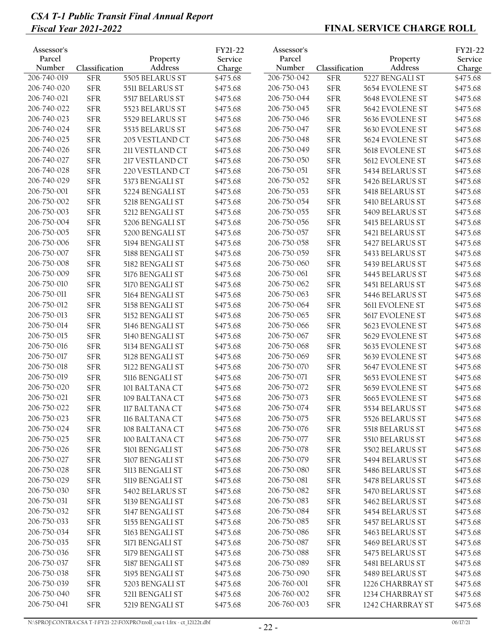| Assessor's<br>Parcel<br>Number | Classification | Property<br>Address | FY21-22<br>Service<br>Charge | Assessor's<br>Parcel<br>Number | Classification | Property<br>Address | FY21-22<br>Service<br>Charge |
|--------------------------------|----------------|---------------------|------------------------------|--------------------------------|----------------|---------------------|------------------------------|
| 206-740-019                    | <b>SFR</b>     | 5505 BELARUS ST     | \$475.68                     | 206-750-042                    | <b>SFR</b>     | 5227 BENGALI ST     | \$475.68                     |
| 206-740-020                    | <b>SFR</b>     | 5511 BELARUS ST     | \$475.68                     | 206-750-043                    | <b>SFR</b>     | 5654 EVOLENE ST     | \$475.68                     |
| 206-740-021                    | <b>SFR</b>     | 5517 BELARUS ST     | \$475.68                     | 206-750-044                    | <b>SFR</b>     | 5648 EVOLENE ST     | \$475.68                     |
| 206-740-022                    | <b>SFR</b>     | 5523 BELARUS ST     | \$475.68                     | 206-750-045                    | <b>SFR</b>     | 5642 EVOLENE ST     | \$475.68                     |
| 206-740-023                    | <b>SFR</b>     | 5529 BELARUS ST     | \$475.68                     | 206-750-046                    | <b>SFR</b>     | 5636 EVOLENE ST     | \$475.68                     |
| 206-740-024                    | ${\rm SFR}$    | 5535 BELARUS ST     | \$475.68                     | 206-750-047                    | <b>SFR</b>     | 5630 EVOLENE ST     | \$475.68                     |
| 206-740-025                    | ${\rm SFR}$    | 205 VESTLAND CT     | \$475.68                     | 206-750-048                    | <b>SFR</b>     | 5624 EVOLENE ST     | \$475.68                     |
| 206-740-026                    | <b>SFR</b>     | 211 VESTLAND CT     | \$475.68                     | 206-750-049                    | <b>SFR</b>     | 5618 EVOLENE ST     | \$475.68                     |
| 206-740-027                    | <b>SFR</b>     | 217 VESTLAND CT     | \$475.68                     | 206-750-050                    | <b>SFR</b>     | 5612 EVOLENE ST     | \$475.68                     |
| 206-740-028                    | <b>SFR</b>     | 220 VESTLAND CT     | \$475.68                     | 206-750-051                    | <b>SFR</b>     | 5434 BELARUS ST     | \$475.68                     |
| 206-740-029                    | <b>SFR</b>     | 5373 BENGALI ST     | \$475.68                     | 206-750-052                    | <b>SFR</b>     | 5426 BELARUS ST     | \$475.68                     |
| 206-750-001                    | ${\rm SFR}$    | 5224 BENGALI ST     | \$475.68                     | 206-750-053                    | <b>SFR</b>     | 5418 BELARUS ST     | \$475.68                     |
| 206-750-002                    | <b>SFR</b>     | 5218 BENGALI ST     | \$475.68                     | 206-750-054                    | <b>SFR</b>     | 5410 BELARUS ST     | \$475.68                     |
| 206-750-003                    | ${\rm SFR}$    | 5212 BENGALI ST     | \$475.68                     | 206-750-055                    | <b>SFR</b>     | 5409 BELARUS ST     | \$475.68                     |
| 206-750-004                    | <b>SFR</b>     | 5206 BENGALI ST     | \$475.68                     | 206-750-056                    | <b>SFR</b>     | 5415 BELARUS ST     | \$475.68                     |
| 206-750-005                    | <b>SFR</b>     | 5200 BENGALI ST     | \$475.68                     | 206-750-057                    | <b>SFR</b>     | 5421 BELARUS ST     | \$475.68                     |
| 206-750-006                    | <b>SFR</b>     | 5194 BENGALI ST     | \$475.68                     | 206-750-058                    | <b>SFR</b>     | 5427 BELARUS ST     | \$475.68                     |
| 206-750-007                    | <b>SFR</b>     | 5188 BENGALI ST     | \$475.68                     | 206-750-059                    | <b>SFR</b>     | 5433 BELARUS ST     | \$475.68                     |
| 206-750-008                    | <b>SFR</b>     | 5182 BENGALI ST     | \$475.68                     | 206-750-060                    | <b>SFR</b>     | 5439 BELARUS ST     | \$475.68                     |
| 206-750-009                    | <b>SFR</b>     | 5176 BENGALI ST     | \$475.68                     | 206-750-061                    | <b>SFR</b>     | 5445 BELARUS ST     | \$475.68                     |
| 206-750-010                    | <b>SFR</b>     | 5170 BENGALI ST     | \$475.68                     | 206-750-062                    | <b>SFR</b>     | 5451 BELARUS ST     | \$475.68                     |
| 206-750-011                    | <b>SFR</b>     | 5164 BENGALI ST     | \$475.68                     | 206-750-063                    | <b>SFR</b>     | 5446 BELARUS ST     | \$475.68                     |
| 206-750-012                    | ${\rm SFR}$    | 5158 BENGALI ST     | \$475.68                     | 206-750-064                    | <b>SFR</b>     | 5611 EVOLENE ST     | \$475.68                     |
| 206-750-013                    | ${\rm SFR}$    | 5152 BENGALI ST     | \$475.68                     | 206-750-065                    | <b>SFR</b>     | 5617 EVOLENE ST     | \$475.68                     |
| 206-750-014                    | <b>SFR</b>     | 5146 BENGALI ST     | \$475.68                     | 206-750-066                    | <b>SFR</b>     | 5623 EVOLENE ST     | \$475.68                     |
| 206-750-015                    | <b>SFR</b>     | 5140 BENGALI ST     | \$475.68                     | 206-750-067                    | <b>SFR</b>     | 5629 EVOLENE ST     | \$475.68                     |
| 206-750-016                    | ${\rm SFR}$    | 5134 BENGALI ST     | \$475.68                     | 206-750-068                    | <b>SFR</b>     | 5635 EVOLENE ST     | \$475.68                     |
| 206-750-017                    | <b>SFR</b>     | 5128 BENGALI ST     | \$475.68                     | 206-750-069                    | <b>SFR</b>     | 5639 EVOLENE ST     | \$475.68                     |
| 206-750-018                    | <b>SFR</b>     | 5122 BENGALI ST     | \$475.68                     | 206-750-070                    | <b>SFR</b>     | 5647 EVOLENE ST     | \$475.68                     |
| 206-750-019                    | <b>SFR</b>     | 5116 BENGALI ST     | \$475.68                     | 206-750-071                    | <b>SFR</b>     | 5653 EVOLENE ST     | \$475.68                     |
| 206-750-020                    | <b>SFR</b>     | 101 BALTANA CT      | \$475.68                     | 206-750-072                    | <b>SFR</b>     | 5659 EVOLENE ST     | \$475.68                     |
| 206-750-021                    | <b>SFR</b>     | 109 BALTANA CT      | \$475.68                     | 206-750-073                    | <b>SFR</b>     | 5665 EVOLENE ST     | \$475.68                     |
| 206-750-022                    | ${\rm SFR}$    | 117 BALTANA CT      | \$475.68                     | 206-750-074                    | ${\rm SFR}$    | 5534 BELARUS ST     | \$475.68                     |
| 206-750-023                    | <b>SFR</b>     | 116 BALTANA CT      | \$475.68                     | 206-750-075                    | <b>SFR</b>     | 5526 BELARUS ST     | \$475.68                     |
| 206-750-024                    | ${\rm SFR}$    | 108 BALTANA CT      | \$475.68                     | 206-750-076                    | <b>SFR</b>     | 5518 BELARUS ST     | \$475.68                     |
| 206-750-025                    | <b>SFR</b>     | 100 BALTANA CT      | \$475.68                     | 206-750-077                    | ${\rm SFR}$    | 5510 BELARUS ST     | \$475.68                     |
| 206-750-026                    | ${\rm SFR}$    | 5101 BENGALI ST     | \$475.68                     | 206-750-078                    | <b>SFR</b>     | 5502 BELARUS ST     | \$475.68                     |
| 206-750-027                    | ${\rm SFR}$    | 5107 BENGALI ST     | \$475.68                     | 206-750-079                    | <b>SFR</b>     | 5494 BELARUS ST     | \$475.68                     |
| 206-750-028                    | ${\rm SFR}$    | 5113 BENGALI ST     | \$475.68                     | 206-750-080                    | ${\rm SFR}$    | 5486 BELARUS ST     |                              |
| 206-750-029                    |                |                     |                              | 206-750-081                    |                |                     | \$475.68                     |
| 206-750-030                    | ${\rm SFR}$    | 5119 BENGALI ST     | \$475.68                     | 206-750-082                    | <b>SFR</b>     | 5478 BELARUS ST     | \$475.68                     |
| 206-750-031                    | ${\rm SFR}$    | 5402 BELARUS ST     | \$475.68                     |                                | <b>SFR</b>     | 5470 BELARUS ST     | \$475.68                     |
| 206-750-032                    | ${\rm SFR}$    | 5139 BENGALI ST     | \$475.68                     | 206-750-083<br>206-750-084     | <b>SFR</b>     | 5462 BELARUS ST     | \$475.68                     |
| 206-750-033                    | ${\rm SFR}$    | 5147 BENGALI ST     | \$475.68                     |                                | <b>SFR</b>     | 5454 BELARUS ST     | \$475.68                     |
|                                | ${\rm SFR}$    | 5155 BENGALI ST     | \$475.68                     | 206-750-085                    | ${\rm SFR}$    | 5457 BELARUS ST     | \$475.68                     |
| 206-750-034                    | ${\rm SFR}$    | 5163 BENGALI ST     | \$475.68                     | 206-750-086                    | <b>SFR</b>     | 5463 BELARUS ST     | \$475.68                     |
| 206-750-035                    | ${\rm SFR}$    | 5171 BENGALI ST     | \$475.68                     | 206-750-087                    | <b>SFR</b>     | 5469 BELARUS ST     | \$475.68                     |
| 206-750-036                    | ${\rm SFR}$    | 5179 BENGALI ST     | \$475.68                     | 206-750-088                    | ${\rm SFR}$    | 5475 BELARUS ST     | \$475.68                     |
| 206-750-037                    | ${\rm SFR}$    | 5187 BENGALI ST     | \$475.68                     | 206-750-089                    | <b>SFR</b>     | 5481 BELARUS ST     | \$475.68                     |
| 206-750-038                    | ${\rm SFR}$    | 5195 BENGALI ST     | \$475.68                     | 206-750-090                    | <b>SFR</b>     | 5489 BELARUS ST     | \$475.68                     |
| 206-750-039                    | ${\rm SFR}$    | 5203 BENGALI ST     | \$475.68                     | 206-760-001                    | <b>SFR</b>     | 1226 CHARBRAY ST    | \$475.68                     |
| 206-750-040                    | ${\rm SFR}$    | 5211 BENGALI ST     | \$475.68                     | 206-760-002                    | ${\rm SFR}$    | 1234 CHARBRAY ST    | \$475.68                     |
| 206-750-041                    | ${\rm SFR}$    | 5219 BENGALI ST     | \$475.68                     | 206-760-003                    | ${\rm SFR}$    | 1242 CHARBRAY ST    | \$475.68                     |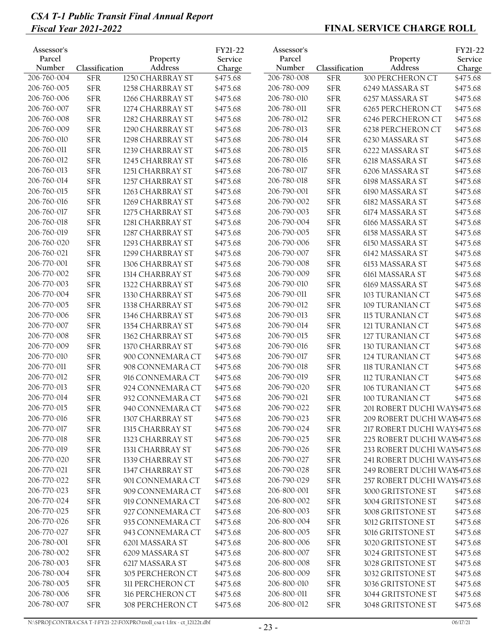| Assessor's<br>Parcel<br>Number | Classification | Property<br>Address | FY21-22<br>Service<br>Charge | Assessor's<br>Parcel<br>Number | Classification | Property<br><b>Address</b>   | FY21-22<br>Service<br>Charge |
|--------------------------------|----------------|---------------------|------------------------------|--------------------------------|----------------|------------------------------|------------------------------|
| 206-760-004                    | <b>SFR</b>     | 1250 CHARBRAY ST    | \$475.68                     | 206-780-008                    | <b>SFR</b>     | 300 PERCHERON CT             | \$475.68                     |
| 206-760-005                    | <b>SFR</b>     | 1258 CHARBRAY ST    | \$475.68                     | 206-780-009                    | <b>SFR</b>     | 6249 MASSARA ST              | \$475.68                     |
| 206-760-006                    | <b>SFR</b>     | 1266 CHARBRAY ST    | \$475.68                     | 206-780-010                    | <b>SFR</b>     | 6257 MASSARA ST              | \$475.68                     |
| 206-760-007                    | <b>SFR</b>     | 1274 CHARBRAY ST    | \$475.68                     | 206-780-011                    | <b>SFR</b>     | 6265 PERCHERON CT            | \$475.68                     |
| 206-760-008                    | <b>SFR</b>     | 1282 CHARBRAY ST    | \$475.68                     | 206-780-012                    | <b>SFR</b>     | 6246 PERCHERON CT            | \$475.68                     |
| 206-760-009                    | <b>SFR</b>     | 1290 CHARBRAY ST    | \$475.68                     | 206-780-013                    | <b>SFR</b>     | 6238 PERCHERON CT            | \$475.68                     |
| 206-760-010                    | <b>SFR</b>     | 1298 CHARBRAY ST    | \$475.68                     | 206-780-014                    | <b>SFR</b>     | 6230 MASSARA ST              | \$475.68                     |
| 206-760-011                    | ${\rm SFR}$    | 1239 CHARBRAY ST    | \$475.68                     | 206-780-015                    | <b>SFR</b>     | 6222 MASSARA ST              | \$475.68                     |
| 206-760-012                    | ${\rm SFR}$    | 1245 CHARBRAY ST    | \$475.68                     | 206-780-016                    | <b>SFR</b>     | 6218 MASSARA ST              | \$475.68                     |
| 206-760-013                    | <b>SFR</b>     | 1251 CHARBRAY ST    | \$475.68                     | 206-780-017                    | <b>SFR</b>     | 6206 MASSARA ST              | \$475.68                     |
| 206-760-014                    | <b>SFR</b>     | 1257 CHARBRAY ST    | \$475.68                     | 206-780-018                    | <b>SFR</b>     | 6198 MASSARA ST              | \$475.68                     |
| 206-760-015                    | <b>SFR</b>     | 1263 CHARBRAY ST    | \$475.68                     | 206-790-001                    | <b>SFR</b>     | 6190 MASSARA ST              | \$475.68                     |
| 206-760-016                    | ${\rm SFR}$    | 1269 CHARBRAY ST    | \$475.68                     | 206-790-002                    | <b>SFR</b>     | 6182 MASSARA ST              | \$475.68                     |
| 206-760-017                    | <b>SFR</b>     | 1275 CHARBRAY ST    | \$475.68                     | 206-790-003                    | <b>SFR</b>     | 6174 MASSARA ST              | \$475.68                     |
| 206-760-018                    | ${\rm SFR}$    | 1281 CHARBRAY ST    | \$475.68                     | 206-790-004                    | <b>SFR</b>     | 6166 MASSARA ST              | \$475.68                     |
| 206-760-019                    | <b>SFR</b>     | 1287 CHARBRAY ST    | \$475.68                     | 206-790-005                    | <b>SFR</b>     | 6158 MASSARA ST              | \$475.68                     |
| 206-760-020                    | ${\rm SFR}$    | 1293 CHARBRAY ST    | \$475.68                     | 206-790-006                    | <b>SFR</b>     | 6150 MASSARA ST              | \$475.68                     |
| 206-760-021                    | ${\rm SFR}$    | 1299 CHARBRAY ST    | \$475.68                     | 206-790-007                    | <b>SFR</b>     | 6142 MASSARA ST              | \$475.68                     |
| 206-770-001                    | <b>SFR</b>     | 1306 CHARBRAY ST    | \$475.68                     | 206-790-008                    | <b>SFR</b>     | 6153 MASSARA ST              | \$475.68                     |
| 206-770-002                    | <b>SFR</b>     | 1314 CHARBRAY ST    | \$475.68                     | 206-790-009                    | <b>SFR</b>     | 6161 MASSARA ST              | \$475.68                     |
| 206-770-003                    | <b>SFR</b>     | 1322 CHARBRAY ST    | \$475.68                     | 206-790-010                    | <b>SFR</b>     | 6169 MASSARA ST              | \$475.68                     |
| 206-770-004                    | <b>SFR</b>     | 1330 CHARBRAY ST    | \$475.68                     | 206-790-011                    | <b>SFR</b>     | 103 TURANIAN CT              | \$475.68                     |
| 206-770-005                    | <b>SFR</b>     | 1338 CHARBRAY ST    | \$475.68                     | 206-790-012                    | <b>SFR</b>     | 109 TURANIAN CT              | \$475.68                     |
| 206-770-006                    | <b>SFR</b>     | 1346 CHARBRAY ST    | \$475.68                     | 206-790-013                    | <b>SFR</b>     | 115 TURANIAN CT              | \$475.68                     |
| 206-770-007                    | ${\rm SFR}$    | 1354 CHARBRAY ST    | \$475.68                     | 206-790-014                    | <b>SFR</b>     | 121 TURANIAN CT              | \$475.68                     |
| 206-770-008                    | ${\rm SFR}$    | 1362 CHARBRAY ST    | \$475.68                     | 206-790-015                    | <b>SFR</b>     | 127 TURANIAN CT              | \$475.68                     |
| 206-770-009                    | <b>SFR</b>     | 1370 CHARBRAY ST    | \$475.68                     | 206-790-016                    | <b>SFR</b>     | 130 TURANIAN CT              | \$475.68                     |
| 206-770-010                    | <b>SFR</b>     | 900 CONNEMARA CT    | \$475.68                     | 206-790-017                    | <b>SFR</b>     | 124 TURANIAN CT              | \$475.68                     |
| 206-770-011                    | <b>SFR</b>     | 908 CONNEMARA CT    | \$475.68                     | 206-790-018                    | <b>SFR</b>     | 118 TURANIAN CT              | \$475.68                     |
| 206-770-012                    | <b>SFR</b>     | 916 CONNEMARA CT    | \$475.68                     | 206-790-019                    | <b>SFR</b>     | 112 TURANIAN CT              | \$475.68                     |
| 206-770-013                    | ${\rm SFR}$    | 924 CONNEMARA CT    | \$475.68                     | 206-790-020                    | <b>SFR</b>     | 106 TURANIAN CT              | \$475.68                     |
| 206-770-014                    | <b>SFR</b>     | 932 CONNEMARA CT    | \$475.68                     | 206-790-021                    | <b>SFR</b>     | 100 TURANIAN CT              | \$475.68                     |
| 206-770-015                    | ${\rm SFR}$    | 940 CONNEMARA CT    | \$475.68                     | 206-790-022                    | <b>SFR</b>     | 201 ROBERT DUCHI WAY\$475.68 |                              |
| 206-770-016                    | <b>SFR</b>     | 1307 CHARBRAY ST    | \$475.68                     | 206-790-023                    | <b>SFR</b>     | 209 ROBERT DUCHI WA\\$475.68 |                              |
| 206-770-017                    | ${\rm SFR}$    | 1315 CHARBRAY ST    | \$475.68                     | 206-790-024                    | <b>SFR</b>     | 217 ROBERT DUCHI WAY\$475.68 |                              |
| 206-770-018                    | ${\rm SFR}$    | 1323 CHARBRAY ST    | \$475.68                     | 206-790-025                    | <b>SFR</b>     | 225 ROBERT DUCHI WAY\$475.68 |                              |
| 206-770-019                    | ${\rm SFR}$    | 1331 CHARBRAY ST    | \$475.68                     | 206-790-026                    | <b>SFR</b>     | 233 ROBERT DUCHI WAY\$475.68 |                              |
| 206-770-020                    | ${\rm SFR}$    | 1339 CHARBRAY ST    | \$475.68                     | 206-790-027                    | <b>SFR</b>     | 241 ROBERT DUCHI WAY\$475.68 |                              |
| 206-770-021                    | ${\rm SFR}$    | 1347 CHARBRAY ST    | \$475.68                     | 206-790-028                    | <b>SFR</b>     | 249 ROBERT DUCHI WA\\$475.68 |                              |
| 206-770-022                    | ${\rm SFR}$    | 901 CONNEMARA CT    | \$475.68                     | 206-790-029                    | <b>SFR</b>     | 257 ROBERT DUCHI WAY\$475.68 |                              |
| 206-770-023                    | ${\rm SFR}$    | 909 CONNEMARA CT    | \$475.68                     | 206-800-001                    | <b>SFR</b>     | 3000 GRITSTONE ST            | \$475.68                     |
| 206-770-024                    | ${\rm SFR}$    | 919 CONNEMARA CT    | \$475.68                     | 206-800-002                    | <b>SFR</b>     | 3004 GRITSTONE ST            | \$475.68                     |
| 206-770-025                    | <b>SFR</b>     | 927 CONNEMARA CT    | \$475.68                     | 206-800-003                    | <b>SFR</b>     | 3008 GRITSTONE ST            | \$475.68                     |
| 206-770-026                    | ${\rm SFR}$    | 935 CONNEMARA CT    | \$475.68                     | 206-800-004                    | <b>SFR</b>     | 3012 GRITSTONE ST            | \$475.68                     |
| 206-770-027                    | ${\rm SFR}$    | 943 CONNEMARA CT    | \$475.68                     | 206-800-005                    | <b>SFR</b>     | 3016 GRITSTONE ST            | \$475.68                     |
| 206-780-001                    | <b>SFR</b>     | 6201 MASSARA ST     | \$475.68                     | 206-800-006                    | <b>SFR</b>     | 3020 GRITSTONE ST            | \$475.68                     |
| 206-780-002                    | ${\rm SFR}$    | 6209 MASSARA ST     | \$475.68                     | 206-800-007                    | <b>SFR</b>     | 3024 GRITSTONE ST            | \$475.68                     |
| 206-780-003                    | ${\rm SFR}$    | 6217 MASSARA ST     | \$475.68                     | 206-800-008                    | <b>SFR</b>     | 3028 GRITSTONE ST            | \$475.68                     |
| 206-780-004                    | ${\rm SFR}$    | 305 PERCHERON CT    | \$475.68                     | 206-800-009                    | <b>SFR</b>     | 3032 GRITSTONE ST            | \$475.68                     |
| 206-780-005                    | ${\rm SFR}$    | 311 PERCHERON CT    | \$475.68                     | 206-800-010                    | <b>SFR</b>     | 3036 GRITSTONE ST            | \$475.68                     |
| 206-780-006                    | ${\rm SFR}$    | 316 PERCHERON CT    | \$475.68                     | 206-800-011                    | <b>SFR</b>     | 3044 GRITSTONE ST            | \$475.68                     |
| 206-780-007                    | ${\rm SFR}$    | 308 PERCHERON CT    | \$475.68                     | 206-800-012                    | <b>SFR</b>     | 3048 GRITSTONE ST            | \$475.68                     |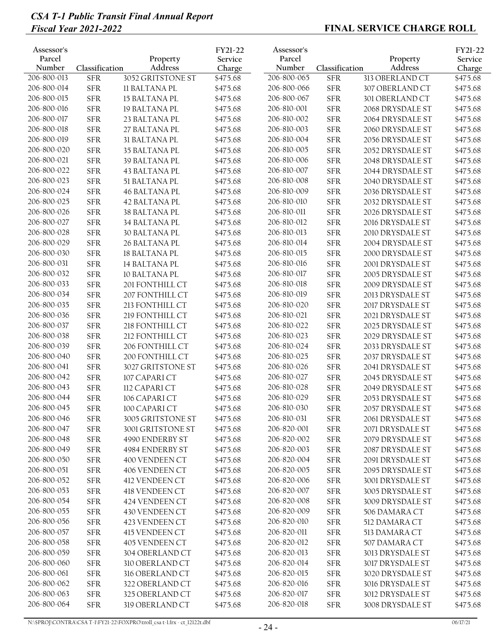| Assessor's<br>Parcel<br>Number | Classification | Property<br>Address  | FY21-22<br>Service<br>Charge | Assessor's<br>Parcel<br>Number | Classification | Property<br>Address | FY21-22<br>Service<br>Charge |
|--------------------------------|----------------|----------------------|------------------------------|--------------------------------|----------------|---------------------|------------------------------|
| 206-800-013                    | <b>SFR</b>     | 3052 GRITSTONE ST    | \$475.68                     | 206-800-065                    | <b>SFR</b>     | 313 OBERLAND CT     | \$475.68                     |
| 206-800-014                    | <b>SFR</b>     | <b>II BALTANA PL</b> | \$475.68                     | 206-800-066                    | <b>SFR</b>     | 307 OBERLAND CT     | \$475.68                     |
| 206-800-015                    | <b>SFR</b>     | 15 BALTANA PL        | \$475.68                     | 206-800-067                    | <b>SFR</b>     | 301 OBERLAND CT     | \$475.68                     |
| 206-800-016                    | <b>SFR</b>     | 19 BALTANA PL        | \$475.68                     | 206-810-001                    | <b>SFR</b>     | 2068 DRYSDALE ST    | \$475.68                     |
| 206-800-017                    | ${\rm SFR}$    | 23 BALTANA PL        | \$475.68                     | 206-810-002                    | <b>SFR</b>     | 2064 DRYSDALE ST    | \$475.68                     |
| 206-800-018                    | ${\rm SFR}$    | 27 BALTANA PL        | \$475.68                     | 206-810-003                    | <b>SFR</b>     | 2060 DRYSDALE ST    | \$475.68                     |
| 206-800-019                    | ${\rm SFR}$    | 31 BALTANA PL        | \$475.68                     | 206-810-004                    | <b>SFR</b>     | 2056 DRYSDALE ST    | \$475.68                     |
| 206-800-020                    | ${\rm SFR}$    | 35 BALTANA PL        | \$475.68                     | 206-810-005                    | <b>SFR</b>     | 2052 DRYSDALE ST    | \$475.68                     |
| 206-800-021                    | ${\rm SFR}$    | 39 BALTANA PL        | \$475.68                     | 206-810-006                    | <b>SFR</b>     | 2048 DRYSDALE ST    | \$475.68                     |
| 206-800-022                    | ${\rm SFR}$    | 43 BALTANA PL        | \$475.68                     | 206-810-007                    | <b>SFR</b>     | 2044 DRYSDALE ST    | \$475.68                     |
| 206-800-023                    | ${\rm SFR}$    | 51 BALTANA PL        | \$475.68                     | 206-810-008                    | <b>SFR</b>     | 2040 DRYSDALE ST    | \$475.68                     |
| 206-800-024                    | ${\rm SFR}$    | <b>46 BALTANA PL</b> | \$475.68                     | 206-810-009                    | <b>SFR</b>     | 2036 DRYSDALE ST    | \$475.68                     |
| 206-800-025                    | ${\rm SFR}$    | 42 BALTANA PL        | \$475.68                     | 206-810-010                    | <b>SFR</b>     | 2032 DRYSDALE ST    | \$475.68                     |
| 206-800-026                    | ${\rm SFR}$    | 38 BALTANA PL        | \$475.68                     | 206-810-011                    | <b>SFR</b>     | 2026 DRYSDALE ST    | \$475.68                     |
| 206-800-027                    | ${\rm SFR}$    | 34 BALTANA PL        | \$475.68                     | 206-810-012                    | <b>SFR</b>     | 2016 DRYSDALE ST    | \$475.68                     |
| 206-800-028                    | ${\rm SFR}$    | <b>30 BALTANA PL</b> | \$475.68                     | 206-810-013                    | <b>SFR</b>     | 2010 DRYSDALE ST    | \$475.68                     |
| 206-800-029                    | <b>SFR</b>     | 26 BALTANA PL        | \$475.68                     | 206-810-014                    | <b>SFR</b>     | 2004 DRYSDALE ST    | \$475.68                     |
| 206-800-030                    | ${\rm SFR}$    | <b>18 BALTANA PL</b> | \$475.68                     | 206-810-015                    | <b>SFR</b>     | 2000 DRYSDALE ST    | \$475.68                     |
| 206-800-031                    | <b>SFR</b>     | 14 BALTANA PL        | \$475.68                     | 206-810-016                    | <b>SFR</b>     | 2001 DRYSDALE ST    | \$475.68                     |
| 206-800-032                    | <b>SFR</b>     | 10 BALTANA PL        | \$475.68                     | 206-810-017                    | <b>SFR</b>     | 2005 DRYSDALE ST    | \$475.68                     |
| 206-800-033                    | ${\rm SFR}$    | 201 FONTHILL CT      | \$475.68                     | 206-810-018                    | <b>SFR</b>     | 2009 DRYSDALE ST    | \$475.68                     |
| 206-800-034                    | ${\rm SFR}$    | 207 FONTHILL CT      | \$475.68                     | 206-810-019                    | <b>SFR</b>     | 2013 DRYSDALE ST    | \$475.68                     |
| 206-800-035                    | ${\rm SFR}$    | 213 FONTHILL CT      | \$475.68                     | 206-810-020                    | <b>SFR</b>     | 2017 DRYSDALE ST    | \$475.68                     |
| 206-800-036                    | ${\rm SFR}$    | 219 FONTHILL CT      | \$475.68                     | 206-810-021                    | <b>SFR</b>     | 2021 DRYSDALE ST    | \$475.68                     |
| 206-800-037                    | ${\rm SFR}$    | 218 FONTHILL CT      | \$475.68                     | 206-810-022                    | <b>SFR</b>     | 2025 DRYSDALE ST    | \$475.68                     |
| 206-800-038                    | ${\rm SFR}$    | 212 FONTHILL CT      | \$475.68                     | 206-810-023                    | <b>SFR</b>     | 2029 DRYSDALE ST    | \$475.68                     |
| 206-800-039                    | <b>SFR</b>     | 206 FONTHILL CT      | \$475.68                     | 206-810-024                    | <b>SFR</b>     | 2033 DRYSDALE ST    | \$475.68                     |
| 206-800-040                    | ${\rm SFR}$    | 200 FONTHILL CT      | \$475.68                     | 206-810-025                    | <b>SFR</b>     | 2037 DRYSDALE ST    | \$475.68                     |
| 206-800-041                    | ${\rm SFR}$    | 3027 GRITSTONE ST    | \$475.68                     | 206-810-026                    | <b>SFR</b>     | 2041 DRYSDALE ST    | \$475.68                     |
| 206-800-042                    | ${\rm SFR}$    | 107 CAPARI CT        | \$475.68                     | 206-810-027                    | <b>SFR</b>     | 2045 DRYSDALE ST    | \$475.68                     |
| 206-800-043                    | <b>SFR</b>     | 112 CAPARI CT        | \$475.68                     | 206-810-028                    | <b>SFR</b>     | 2049 DRYSDALE ST    | \$475.68                     |
| 206-800-044                    | <b>SFR</b>     | 106 CAPARI CT        | \$475.68                     | 206-810-029                    | <b>SFR</b>     | 2053 DRYSDALE ST    | \$475.68                     |
| 206-800-045                    | <b>SFR</b>     | 100 CAPARI CT        | \$475.68                     | 206-810-030                    | <b>SFR</b>     | 2057 DRYSDALE ST    | \$475.68                     |
| 206-800-046                    | ${\rm SFR}$    | 3005 GRITSTONE ST    | \$475.68                     | 206-810-031                    | <b>SFR</b>     | 2061 DRYSDALE ST    | \$475.68                     |
| 206-800-047                    | <b>SFR</b>     | 3001 GRITSTONE ST    | \$475.68                     | 206-820-001                    | <b>SFR</b>     | 2071 DRYSDALE ST    | \$475.68                     |
| 206-800-048                    | <b>SFR</b>     | 4990 ENDERBY ST      | \$475.68                     | 206-820-002                    | <b>SFR</b>     | 2079 DRYSDALE ST    | \$475.68                     |
| 206-800-049                    | ${\rm SFR}$    | 4984 ENDERBY ST      | \$475.68                     | 206-820-003                    | <b>SFR</b>     | 2087 DRYSDALE ST    | \$475.68                     |
| 206-800-050                    | <b>SFR</b>     | 400 VENDEEN CT       | \$475.68                     | 206-820-004                    | <b>SFR</b>     | 2091 DRYSDALE ST    | \$475.68                     |
| 206-800-051                    | ${\rm SFR}$    | 406 VENDEEN CT       | \$475.68                     | 206-820-005                    | ${\rm SFR}$    | 2095 DRYSDALE ST    | \$475.68                     |
| 206-800-052                    | <b>SFR</b>     | 412 VENDEEN CT       | \$475.68                     | 206-820-006                    | <b>SFR</b>     | 3001 DRYSDALE ST    | \$475.68                     |
| 206-800-053                    | ${\rm SFR}$    | 418 VENDEEN CT       | \$475.68                     | 206-820-007                    | <b>SFR</b>     | 3005 DRYSDALE ST    | \$475.68                     |
| 206-800-054                    | ${\rm SFR}$    | 424 VENDEEN CT       | \$475.68                     | 206-820-008                    | <b>SFR</b>     | 3009 DRYSDALE ST    | \$475.68                     |
| 206-800-055                    | <b>SFR</b>     | 430 VENDEEN CT       | \$475.68                     | 206-820-009                    | ${\rm SFR}$    | 506 DAMARA CT       | \$475.68                     |
| 206-800-056                    | ${\rm SFR}$    | 423 VENDEEN CT       | \$475.68                     | 206-820-010                    | <b>SFR</b>     | 512 DAMARA CT       | \$475.68                     |
| 206-800-057                    | ${\rm SFR}$    | 415 VENDEEN CT       | \$475.68                     | 206-820-011                    | <b>SFR</b>     | 513 DAMARA CT       | \$475.68                     |
| 206-800-058                    | <b>SFR</b>     | 405 VENDEEN CT       | \$475.68                     | 206-820-012                    | <b>SFR</b>     | 507 DAMARA CT       | \$475.68                     |
| 206-800-059                    | ${\rm SFR}$    | 304 OBERLAND CT      | \$475.68                     | 206-820-013                    | <b>SFR</b>     | 3013 DRYSDALE ST    | \$475.68                     |
| 206-800-060                    | <b>SFR</b>     | 310 OBERLAND CT      | \$475.68                     | 206-820-014                    | <b>SFR</b>     | 3017 DRYSDALE ST    | \$475.68                     |
| 206-800-061                    | ${\rm SFR}$    | 316 OBERLAND CT      | \$475.68                     | 206-820-015                    | <b>SFR</b>     | 3020 DRYSDALE ST    | \$475.68                     |
| 206-800-062                    | ${\rm SFR}$    | 322 OBERLAND CT      | \$475.68                     | 206-820-016                    | <b>SFR</b>     | 3016 DRYSDALE ST    | \$475.68                     |
| 206-800-063                    | <b>SFR</b>     | 325 OBERLAND CT      | \$475.68                     | 206-820-017                    | <b>SFR</b>     | 3012 DRYSDALE ST    | \$475.68                     |
| 206-800-064                    | <b>SFR</b>     | 319 OBERLAND CT      | \$475.68                     | 206-820-018                    | <b>SFR</b>     | 3008 DRYSDALE ST    | \$475.68                     |